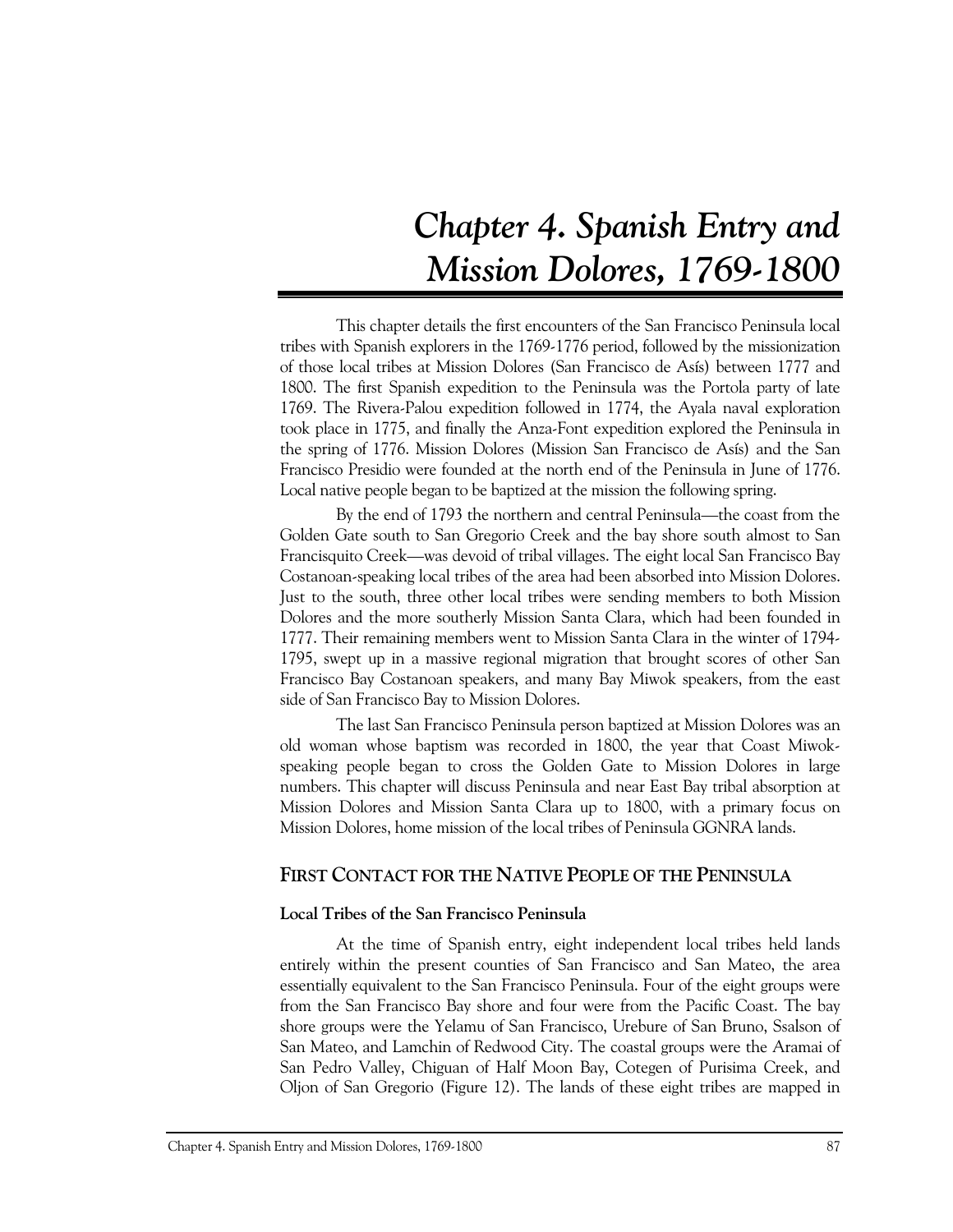# *Chapter 4. Spanish Entry and Mission Dolores, 1769-1800*

This chapter details the first encounters of the San Francisco Peninsula local tribes with Spanish explorers in the 1769-1776 period, followed by the missionization of those local tribes at Mission Dolores (San Francisco de Asís) between 1777 and 1800. The first Spanish expedition to the Peninsula was the Portola party of late 1769. The Rivera-Palou expedition followed in 1774, the Ayala naval exploration took place in 1775, and finally the Anza-Font expedition explored the Peninsula in the spring of 1776. Mission Dolores (Mission San Francisco de Asís) and the San Francisco Presidio were founded at the north end of the Peninsula in June of 1776. Local native people began to be baptized at the mission the following spring.

By the end of 1793 the northern and central Peninsula—the coast from the Golden Gate south to San Gregorio Creek and the bay shore south almost to San Francisquito Creek—was devoid of tribal villages. The eight local San Francisco Bay Costanoan-speaking local tribes of the area had been absorbed into Mission Dolores. Just to the south, three other local tribes were sending members to both Mission Dolores and the more southerly Mission Santa Clara, which had been founded in 1777. Their remaining members went to Mission Santa Clara in the winter of 1794- 1795, swept up in a massive regional migration that brought scores of other San Francisco Bay Costanoan speakers, and many Bay Miwok speakers, from the east side of San Francisco Bay to Mission Dolores.

The last San Francisco Peninsula person baptized at Mission Dolores was an old woman whose baptism was recorded in 1800, the year that Coast Miwokspeaking people began to cross the Golden Gate to Mission Dolores in large numbers. This chapter will discuss Peninsula and near East Bay tribal absorption at Mission Dolores and Mission Santa Clara up to 1800, with a primary focus on Mission Dolores, home mission of the local tribes of Peninsula GGNRA lands.

## **FIRST CONTACT FOR THE NATIVE PEOPLE OF THE PENINSULA**

#### **Local Tribes of the San Francisco Peninsula**

At the time of Spanish entry, eight independent local tribes held lands entirely within the present counties of San Francisco and San Mateo, the area essentially equivalent to the San Francisco Peninsula. Four of the eight groups were from the San Francisco Bay shore and four were from the Pacific Coast. The bay shore groups were the Yelamu of San Francisco, Urebure of San Bruno, Ssalson of San Mateo, and Lamchin of Redwood City. The coastal groups were the Aramai of San Pedro Valley, Chiguan of Half Moon Bay, Cotegen of Purisima Creek, and Oljon of San Gregorio (Figure 12). The lands of these eight tribes are mapped in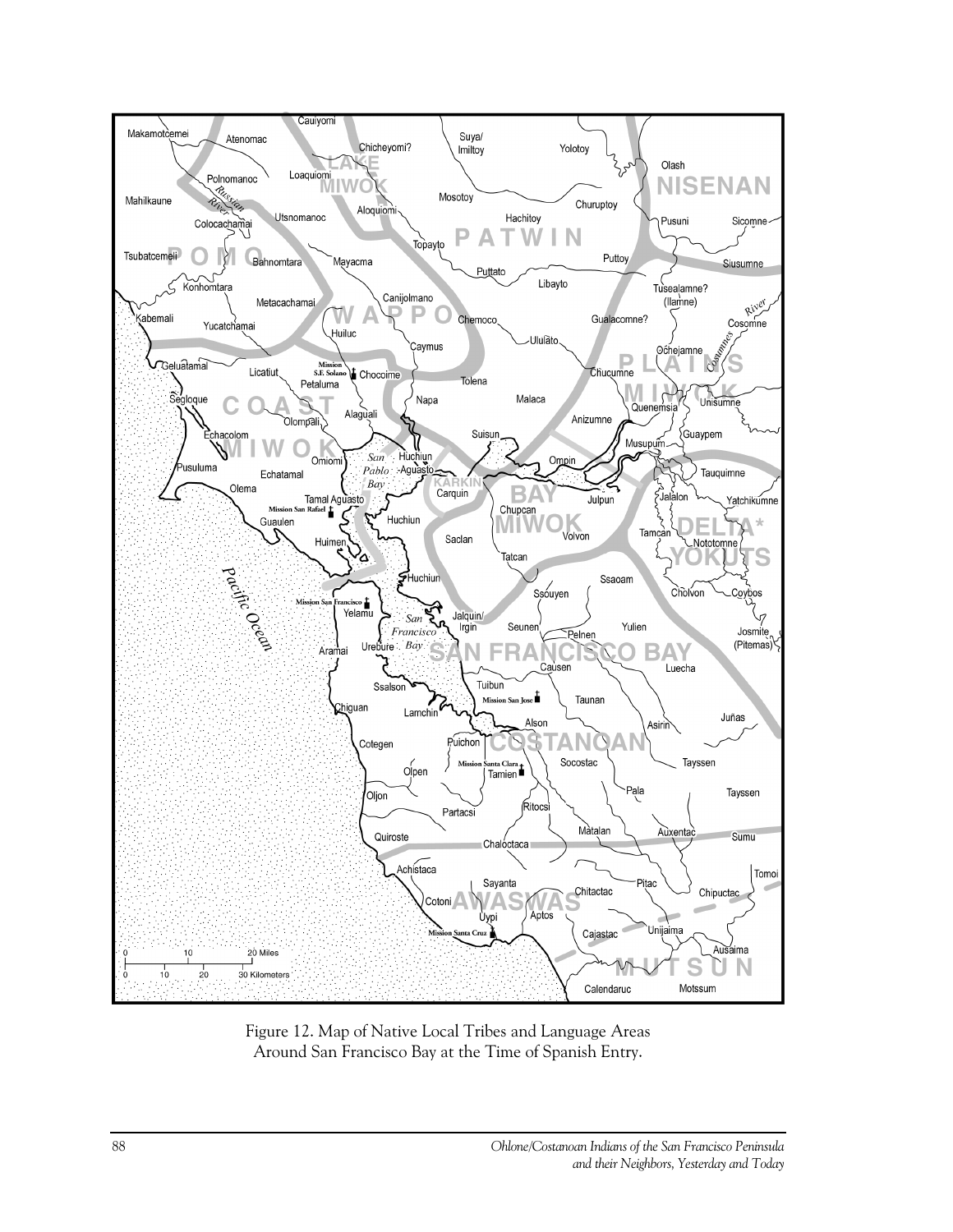

Figure 12. Map of Native Local Tribes and Language Areas Around San Francisco Bay at the Time of Spanish Entry.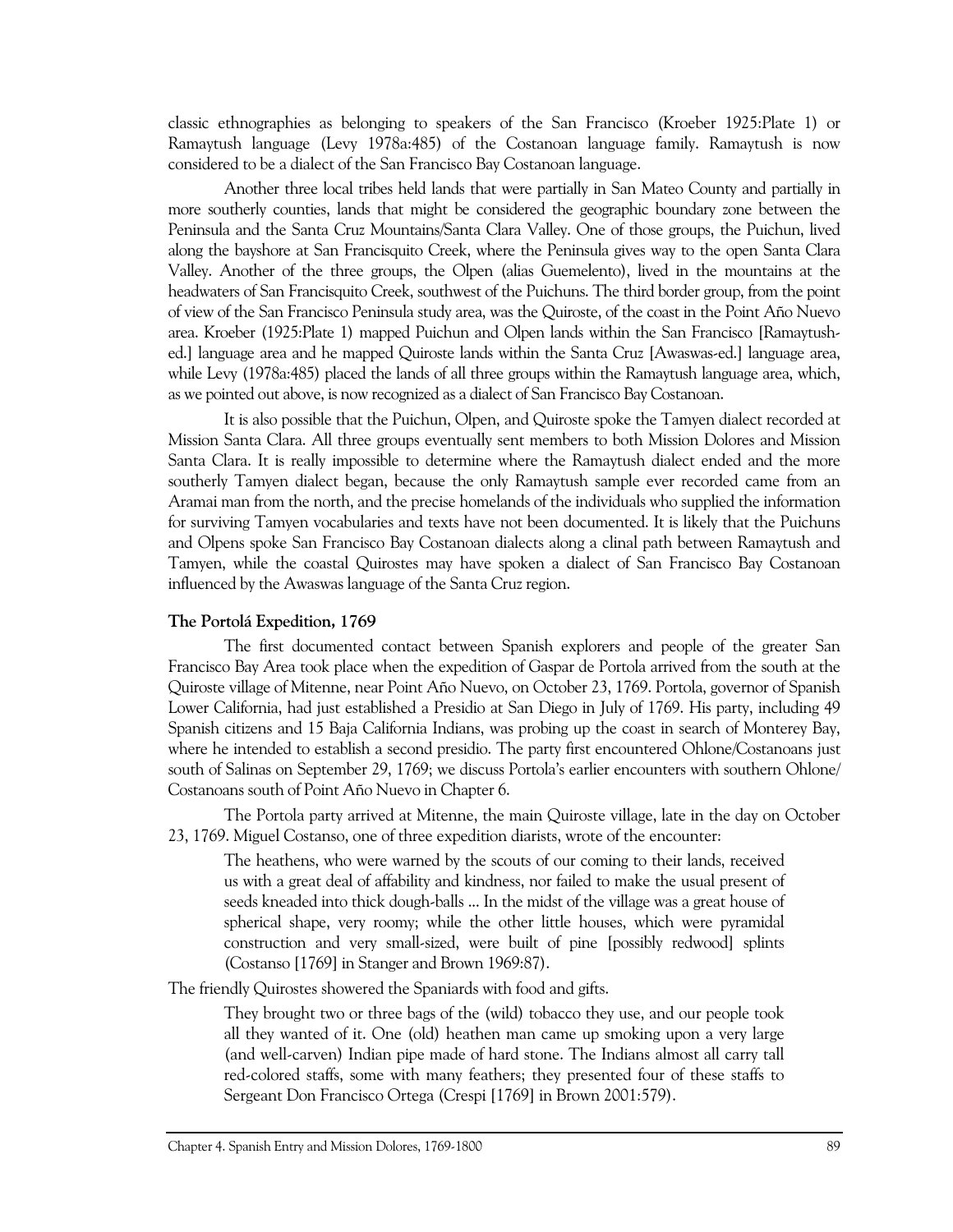classic ethnographies as belonging to speakers of the San Francisco (Kroeber 1925:Plate 1) or Ramaytush language (Levy 1978a:485) of the Costanoan language family. Ramaytush is now considered to be a dialect of the San Francisco Bay Costanoan language.

Another three local tribes held lands that were partially in San Mateo County and partially in more southerly counties, lands that might be considered the geographic boundary zone between the Peninsula and the Santa Cruz Mountains/Santa Clara Valley. One of those groups, the Puichun, lived along the bayshore at San Francisquito Creek, where the Peninsula gives way to the open Santa Clara Valley. Another of the three groups, the Olpen (alias Guemelento), lived in the mountains at the headwaters of San Francisquito Creek, southwest of the Puichuns. The third border group, from the point of view of the San Francisco Peninsula study area, was the Quiroste, of the coast in the Point Año Nuevo area. Kroeber (1925:Plate 1) mapped Puichun and Olpen lands within the San Francisco [Ramaytushed.] language area and he mapped Quiroste lands within the Santa Cruz [Awaswas-ed.] language area, while Levy (1978a:485) placed the lands of all three groups within the Ramaytush language area, which, as we pointed out above, is now recognized as a dialect of San Francisco Bay Costanoan.

It is also possible that the Puichun, Olpen, and Quiroste spoke the Tamyen dialect recorded at Mission Santa Clara. All three groups eventually sent members to both Mission Dolores and Mission Santa Clara. It is really impossible to determine where the Ramaytush dialect ended and the more southerly Tamyen dialect began, because the only Ramaytush sample ever recorded came from an Aramai man from the north, and the precise homelands of the individuals who supplied the information for surviving Tamyen vocabularies and texts have not been documented. It is likely that the Puichuns and Olpens spoke San Francisco Bay Costanoan dialects along a clinal path between Ramaytush and Tamyen, while the coastal Quirostes may have spoken a dialect of San Francisco Bay Costanoan influenced by the Awaswas language of the Santa Cruz region.

## **The Portolá Expedition, 1769**

The first documented contact between Spanish explorers and people of the greater San Francisco Bay Area took place when the expedition of Gaspar de Portola arrived from the south at the Quiroste village of Mitenne, near Point Año Nuevo, on October 23, 1769. Portola, governor of Spanish Lower California, had just established a Presidio at San Diego in July of 1769. His party, including 49 Spanish citizens and 15 Baja California Indians, was probing up the coast in search of Monterey Bay, where he intended to establish a second presidio. The party first encountered Ohlone/Costanoans just south of Salinas on September 29, 1769; we discuss Portola's earlier encounters with southern Ohlone/ Costanoans south of Point Año Nuevo in Chapter 6.

The Portola party arrived at Mitenne, the main Quiroste village, late in the day on October 23, 1769. Miguel Costanso, one of three expedition diarists, wrote of the encounter:

The heathens, who were warned by the scouts of our coming to their lands, received us with a great deal of affability and kindness, nor failed to make the usual present of seeds kneaded into thick dough-balls ... In the midst of the village was a great house of spherical shape, very roomy; while the other little houses, which were pyramidal construction and very small-sized, were built of pine [possibly redwood] splints (Costanso [1769] in Stanger and Brown 1969:87).

The friendly Quirostes showered the Spaniards with food and gifts.

They brought two or three bags of the (wild) tobacco they use, and our people took all they wanted of it. One (old) heathen man came up smoking upon a very large (and well-carven) Indian pipe made of hard stone. The Indians almost all carry tall red-colored staffs, some with many feathers; they presented four of these staffs to Sergeant Don Francisco Ortega (Crespi [1769] in Brown 2001:579).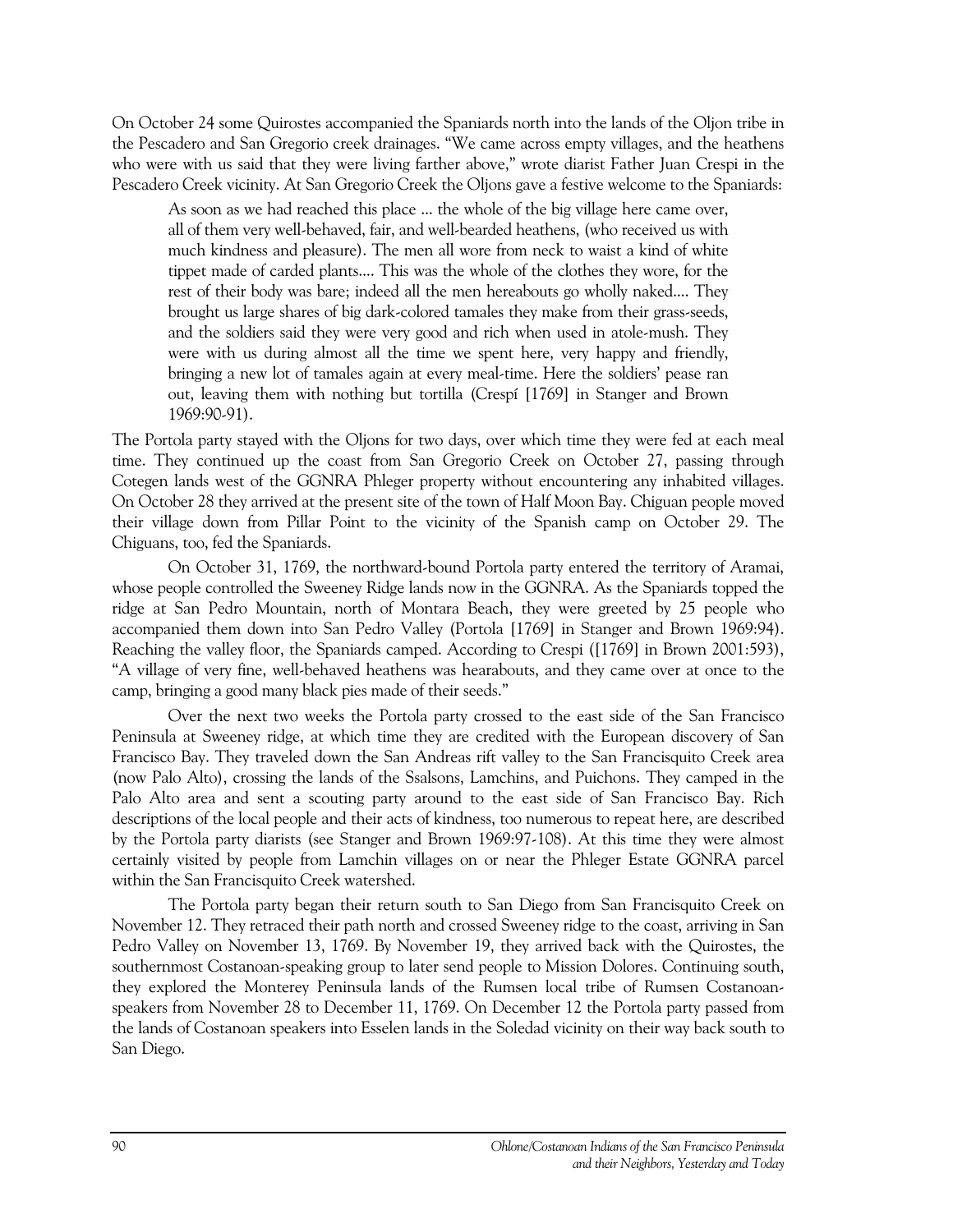On October 24 some Quirostes accompanied the Spaniards north into the lands of the Oljon tribe in the Pescadero and San Gregorio creek drainages. "We came across empty villages, and the heathens who were with us said that they were living farther above," wrote diarist Father Juan Crespi in the Pescadero Creek vicinity. At San Gregorio Creek the Oljons gave a festive welcome to the Spaniards:

As soon as we had reached this place ... the whole of the big village here came over, all of them very well-behaved, fair, and well-bearded heathens, (who received us with much kindness and pleasure). The men all wore from neck to waist a kind of white tippet made of carded plants.... This was the whole of the clothes they wore, for the rest of their body was bare; indeed all the men hereabouts go wholly naked.... They brought us large shares of big dark-colored tamales they make from their grass-seeds, and the soldiers said they were very good and rich when used in atole-mush. They were with us during almost all the time we spent here, very happy and friendly, bringing a new lot of tamales again at every meal-time. Here the soldiers' pease ran out, leaving them with nothing but tortilla (Crespí [1769] in Stanger and Brown 1969:90-91).

The Portola party stayed with the Oljons for two days, over which time they were fed at each meal time. They continued up the coast from San Gregorio Creek on October 27, passing through Cotegen lands west of the GGNRA Phleger property without encountering any inhabited villages. On October 28 they arrived at the present site of the town of Half Moon Bay. Chiguan people moved their village down from Pillar Point to the vicinity of the Spanish camp on October 29. The Chiguans, too, fed the Spaniards.

On October 31, 1769, the northward-bound Portola party entered the territory of Aramai, whose people controlled the Sweeney Ridge lands now in the GGNRA. As the Spaniards topped the ridge at San Pedro Mountain, north of Montara Beach, they were greeted by 25 people who accompanied them down into San Pedro Valley (Portola [1769] in Stanger and Brown 1969:94). Reaching the valley floor, the Spaniards camped. According to Crespi ([1769] in Brown 2001:593), "A village of very fine, well-behaved heathens was hearabouts, and they came over at once to the camp, bringing a good many black pies made of their seeds."

Over the next two weeks the Portola party crossed to the east side of the San Francisco Peninsula at Sweeney ridge, at which time they are credited with the European discovery of San Francisco Bay. They traveled down the San Andreas rift valley to the San Francisquito Creek area (now Palo Alto), crossing the lands of the Ssalsons, Lamchins, and Puichons. They camped in the Palo Alto area and sent a scouting party around to the east side of San Francisco Bay. Rich descriptions of the local people and their acts of kindness, too numerous to repeat here, are described by the Portola party diarists (see Stanger and Brown 1969:97-108). At this time they were almost certainly visited by people from Lamchin villages on or near the Phleger Estate GGNRA parcel within the San Francisquito Creek watershed.

The Portola party began their return south to San Diego from San Francisquito Creek on November 12. They retraced their path north and crossed Sweeney ridge to the coast, arriving in San Pedro Valley on November 13, 1769. By November 19, they arrived back with the Quirostes, the southernmost Costanoan-speaking group to later send people to Mission Dolores. Continuing south, they explored the Monterey Peninsula lands of the Rumsen local tribe of Rumsen Costanoanspeakers from November 28 to December 11, 1769. On December 12 the Portola party passed from the lands of Costanoan speakers into Esselen lands in the Soledad vicinity on their way back south to San Diego.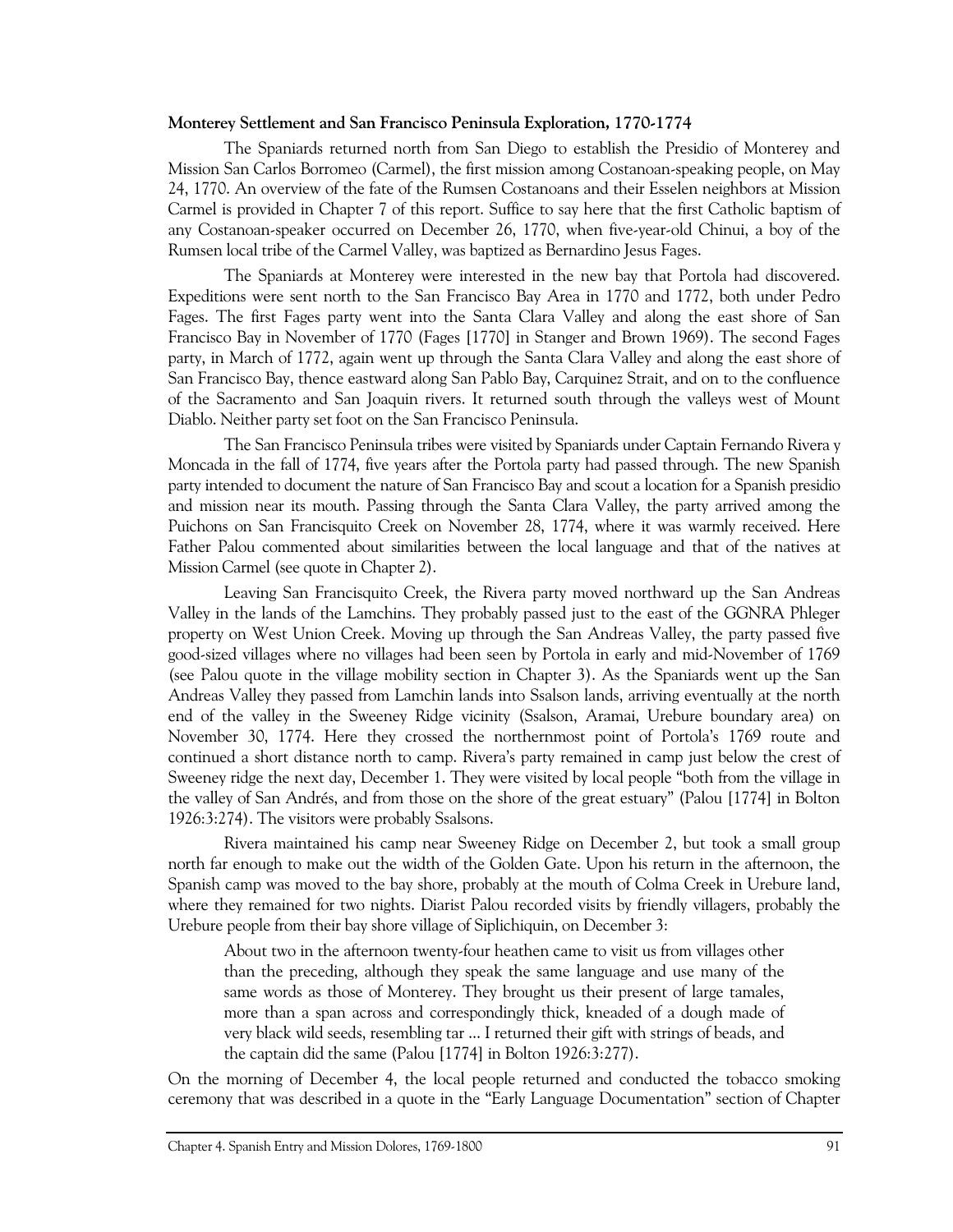#### **Monterey Settlement and San Francisco Peninsula Exploration, 1770-1774**

The Spaniards returned north from San Diego to establish the Presidio of Monterey and Mission San Carlos Borromeo (Carmel), the first mission among Costanoan-speaking people, on May 24, 1770. An overview of the fate of the Rumsen Costanoans and their Esselen neighbors at Mission Carmel is provided in Chapter 7 of this report. Suffice to say here that the first Catholic baptism of any Costanoan-speaker occurred on December 26, 1770, when five-year-old Chinui, a boy of the Rumsen local tribe of the Carmel Valley, was baptized as Bernardino Jesus Fages.

The Spaniards at Monterey were interested in the new bay that Portola had discovered. Expeditions were sent north to the San Francisco Bay Area in 1770 and 1772, both under Pedro Fages. The first Fages party went into the Santa Clara Valley and along the east shore of San Francisco Bay in November of 1770 (Fages [1770] in Stanger and Brown 1969). The second Fages party, in March of 1772, again went up through the Santa Clara Valley and along the east shore of San Francisco Bay, thence eastward along San Pablo Bay, Carquinez Strait, and on to the confluence of the Sacramento and San Joaquin rivers. It returned south through the valleys west of Mount Diablo. Neither party set foot on the San Francisco Peninsula.

The San Francisco Peninsula tribes were visited by Spaniards under Captain Fernando Rivera y Moncada in the fall of 1774, five years after the Portola party had passed through. The new Spanish party intended to document the nature of San Francisco Bay and scout a location for a Spanish presidio and mission near its mouth. Passing through the Santa Clara Valley, the party arrived among the Puichons on San Francisquito Creek on November 28, 1774, where it was warmly received. Here Father Palou commented about similarities between the local language and that of the natives at Mission Carmel (see quote in Chapter 2).

Leaving San Francisquito Creek, the Rivera party moved northward up the San Andreas Valley in the lands of the Lamchins. They probably passed just to the east of the GGNRA Phleger property on West Union Creek. Moving up through the San Andreas Valley, the party passed five good-sized villages where no villages had been seen by Portola in early and mid-November of 1769 (see Palou quote in the village mobility section in Chapter 3). As the Spaniards went up the San Andreas Valley they passed from Lamchin lands into Ssalson lands, arriving eventually at the north end of the valley in the Sweeney Ridge vicinity (Ssalson, Aramai, Urebure boundary area) on November 30, 1774. Here they crossed the northernmost point of Portola's 1769 route and continued a short distance north to camp. Rivera's party remained in camp just below the crest of Sweeney ridge the next day, December 1. They were visited by local people "both from the village in the valley of San Andrés, and from those on the shore of the great estuary" (Palou [1774] in Bolton 1926:3:274). The visitors were probably Ssalsons.

Rivera maintained his camp near Sweeney Ridge on December 2, but took a small group north far enough to make out the width of the Golden Gate. Upon his return in the afternoon, the Spanish camp was moved to the bay shore, probably at the mouth of Colma Creek in Urebure land, where they remained for two nights. Diarist Palou recorded visits by friendly villagers, probably the Urebure people from their bay shore village of Siplichiquin, on December 3:

About two in the afternoon twenty-four heathen came to visit us from villages other than the preceding, although they speak the same language and use many of the same words as those of Monterey. They brought us their present of large tamales, more than a span across and correspondingly thick, kneaded of a dough made of very black wild seeds, resembling tar ... I returned their gift with strings of beads, and the captain did the same (Palou [1774] in Bolton 1926:3:277).

On the morning of December 4, the local people returned and conducted the tobacco smoking ceremony that was described in a quote in the "Early Language Documentation" section of Chapter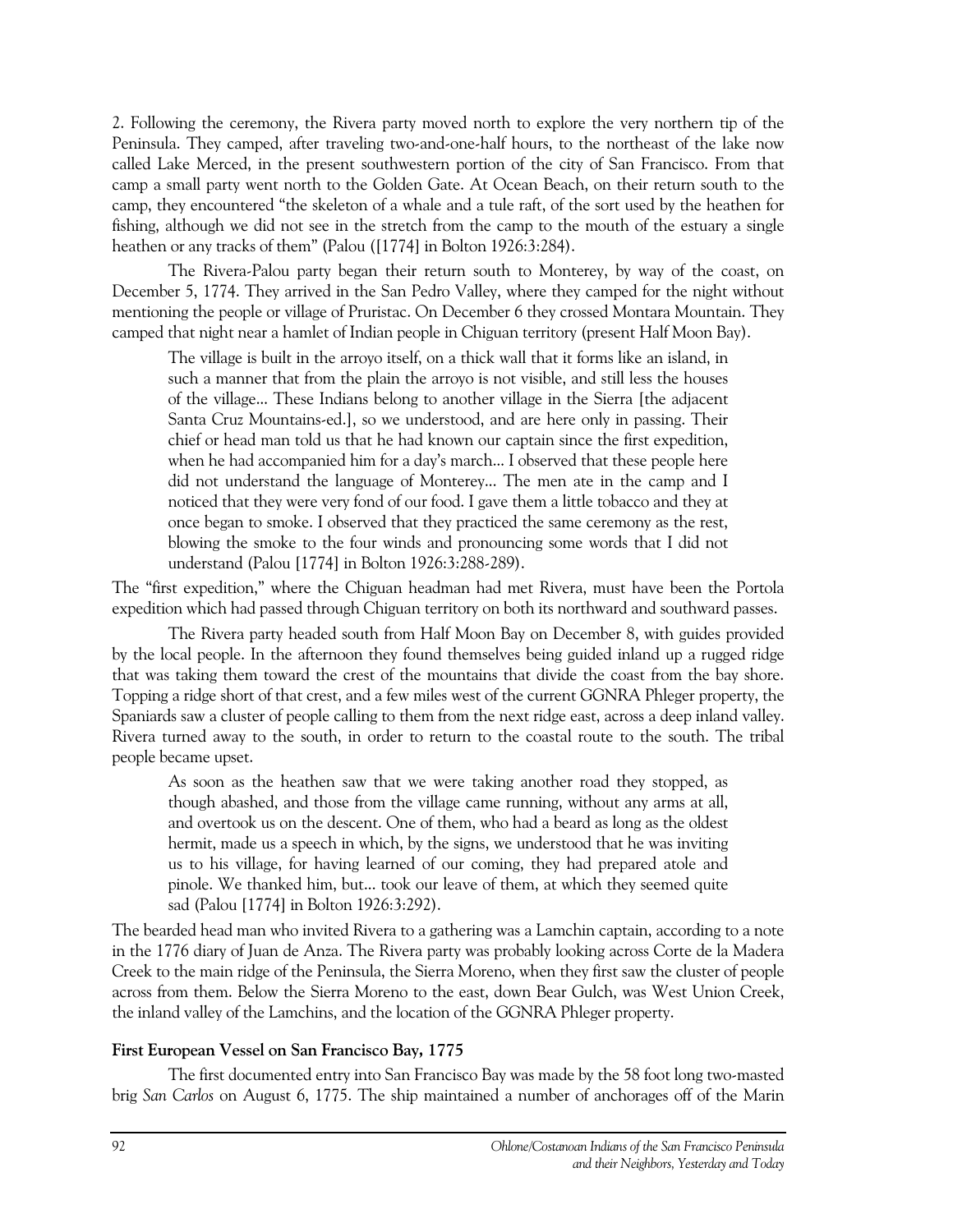2. Following the ceremony, the Rivera party moved north to explore the very northern tip of the Peninsula. They camped, after traveling two-and-one-half hours, to the northeast of the lake now called Lake Merced, in the present southwestern portion of the city of San Francisco. From that camp a small party went north to the Golden Gate. At Ocean Beach, on their return south to the camp, they encountered "the skeleton of a whale and a tule raft, of the sort used by the heathen for fishing, although we did not see in the stretch from the camp to the mouth of the estuary a single heathen or any tracks of them" (Palou ([1774] in Bolton 1926:3:284).

The Rivera-Palou party began their return south to Monterey, by way of the coast, on December 5, 1774. They arrived in the San Pedro Valley, where they camped for the night without mentioning the people or village of Pruristac. On December 6 they crossed Montara Mountain. They camped that night near a hamlet of Indian people in Chiguan territory (present Half Moon Bay).

The village is built in the arroyo itself, on a thick wall that it forms like an island, in such a manner that from the plain the arroyo is not visible, and still less the houses of the village... These Indians belong to another village in the Sierra [the adjacent Santa Cruz Mountains-ed.], so we understood, and are here only in passing. Their chief or head man told us that he had known our captain since the first expedition, when he had accompanied him for a day's march... I observed that these people here did not understand the language of Monterey... The men ate in the camp and I noticed that they were very fond of our food. I gave them a little tobacco and they at once began to smoke. I observed that they practiced the same ceremony as the rest, blowing the smoke to the four winds and pronouncing some words that I did not understand (Palou [1774] in Bolton 1926:3:288-289).

The "first expedition," where the Chiguan headman had met Rivera, must have been the Portola expedition which had passed through Chiguan territory on both its northward and southward passes.

The Rivera party headed south from Half Moon Bay on December 8, with guides provided by the local people. In the afternoon they found themselves being guided inland up a rugged ridge that was taking them toward the crest of the mountains that divide the coast from the bay shore. Topping a ridge short of that crest, and a few miles west of the current GGNRA Phleger property, the Spaniards saw a cluster of people calling to them from the next ridge east, across a deep inland valley. Rivera turned away to the south, in order to return to the coastal route to the south. The tribal people became upset.

As soon as the heathen saw that we were taking another road they stopped, as though abashed, and those from the village came running, without any arms at all, and overtook us on the descent. One of them, who had a beard as long as the oldest hermit, made us a speech in which, by the signs, we understood that he was inviting us to his village, for having learned of our coming, they had prepared atole and pinole. We thanked him, but... took our leave of them, at which they seemed quite sad (Palou [1774] in Bolton 1926:3:292).

The bearded head man who invited Rivera to a gathering was a Lamchin captain, according to a note in the 1776 diary of Juan de Anza. The Rivera party was probably looking across Corte de la Madera Creek to the main ridge of the Peninsula, the Sierra Moreno, when they first saw the cluster of people across from them. Below the Sierra Moreno to the east, down Bear Gulch, was West Union Creek, the inland valley of the Lamchins, and the location of the GGNRA Phleger property.

## **First European Vessel on San Francisco Bay, 1775**

The first documented entry into San Francisco Bay was made by the 58 foot long two-masted brig *San Carlos* on August 6, 1775. The ship maintained a number of anchorages off of the Marin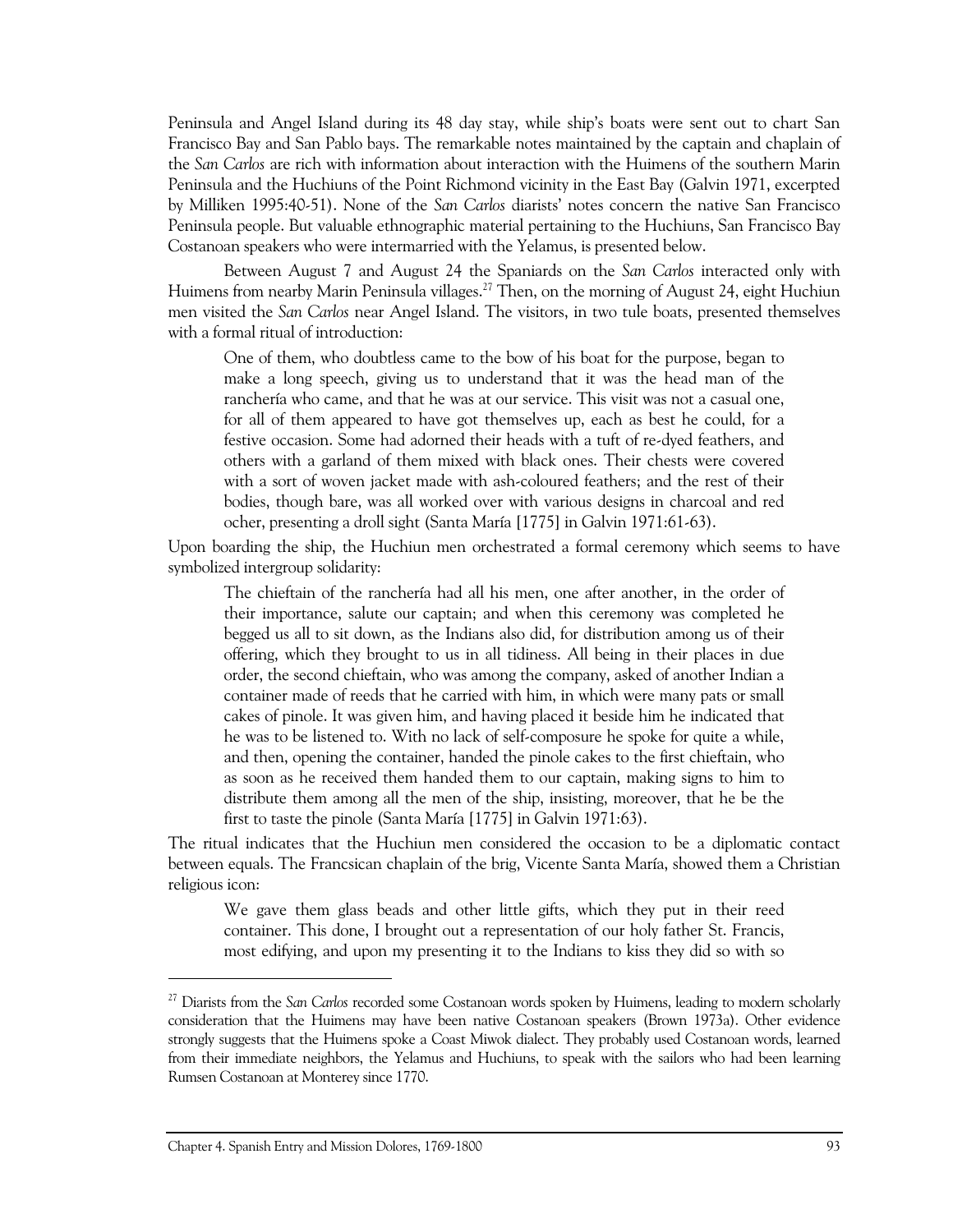Peninsula and Angel Island during its 48 day stay, while ship's boats were sent out to chart San Francisco Bay and San Pablo bays. The remarkable notes maintained by the captain and chaplain of the *San Carlos* are rich with information about interaction with the Huimens of the southern Marin Peninsula and the Huchiuns of the Point Richmond vicinity in the East Bay (Galvin 1971, excerpted by Milliken 1995:40-51). None of the *San Carlos* diarists' notes concern the native San Francisco Peninsula people. But valuable ethnographic material pertaining to the Huchiuns, San Francisco Bay Costanoan speakers who were intermarried with the Yelamus, is presented below.

Between August 7 and August 24 the Spaniards on the *San Carlos* interacted only with Huimens from nearby Marin Peninsula villages.<sup>27</sup> Then, on the morning of August 24, eight Huchiun men visited the *San Carlos* near Angel Island. The visitors, in two tule boats, presented themselves with a formal ritual of introduction:

One of them, who doubtless came to the bow of his boat for the purpose, began to make a long speech, giving us to understand that it was the head man of the ranchería who came, and that he was at our service. This visit was not a casual one, for all of them appeared to have got themselves up, each as best he could, for a festive occasion. Some had adorned their heads with a tuft of re-dyed feathers, and others with a garland of them mixed with black ones. Their chests were covered with a sort of woven jacket made with ash-coloured feathers; and the rest of their bodies, though bare, was all worked over with various designs in charcoal and red ocher, presenting a droll sight (Santa María [1775] in Galvin 1971:61-63).

Upon boarding the ship, the Huchiun men orchestrated a formal ceremony which seems to have symbolized intergroup solidarity:

The chieftain of the ranchería had all his men, one after another, in the order of their importance, salute our captain; and when this ceremony was completed he begged us all to sit down, as the Indians also did, for distribution among us of their offering, which they brought to us in all tidiness. All being in their places in due order, the second chieftain, who was among the company, asked of another Indian a container made of reeds that he carried with him, in which were many pats or small cakes of pinole. It was given him, and having placed it beside him he indicated that he was to be listened to. With no lack of self-composure he spoke for quite a while, and then, opening the container, handed the pinole cakes to the first chieftain, who as soon as he received them handed them to our captain, making signs to him to distribute them among all the men of the ship, insisting, moreover, that he be the first to taste the pinole (Santa María [1775] in Galvin 1971:63).

The ritual indicates that the Huchiun men considered the occasion to be a diplomatic contact between equals. The Francsican chaplain of the brig, Vicente Santa María, showed them a Christian religious icon:

We gave them glass beads and other little gifts, which they put in their reed container. This done, I brought out a representation of our holy father St. Francis, most edifying, and upon my presenting it to the Indians to kiss they did so with so

<u>.</u>

<sup>27</sup> Diarists from the *San Carlos* recorded some Costanoan words spoken by Huimens, leading to modern scholarly consideration that the Huimens may have been native Costanoan speakers (Brown 1973a). Other evidence strongly suggests that the Huimens spoke a Coast Miwok dialect. They probably used Costanoan words, learned from their immediate neighbors, the Yelamus and Huchiuns, to speak with the sailors who had been learning Rumsen Costanoan at Monterey since 1770.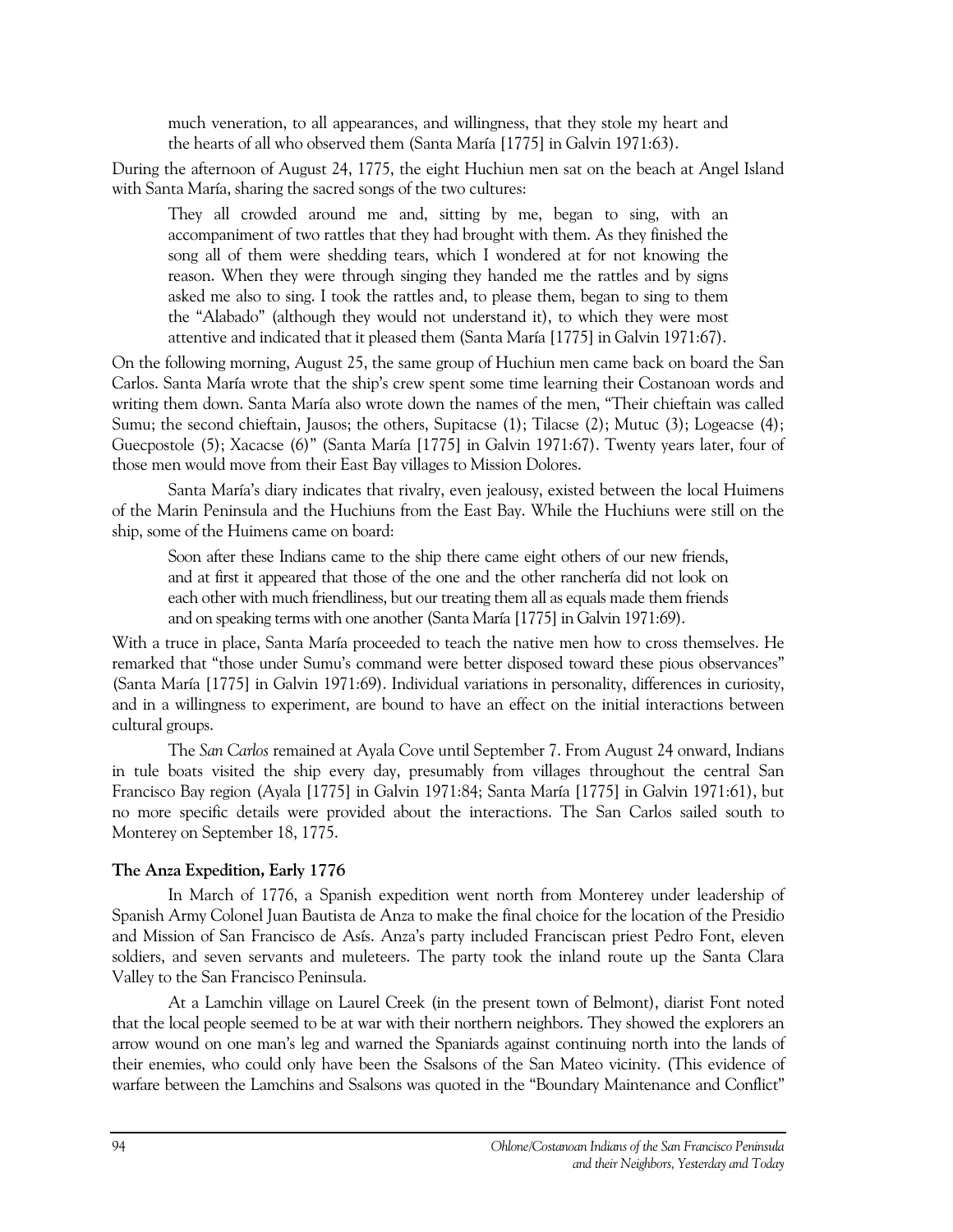much veneration, to all appearances, and willingness, that they stole my heart and the hearts of all who observed them (Santa María [1775] in Galvin 1971:63).

During the afternoon of August 24, 1775, the eight Huchiun men sat on the beach at Angel Island with Santa María, sharing the sacred songs of the two cultures:

They all crowded around me and, sitting by me, began to sing, with an accompaniment of two rattles that they had brought with them. As they finished the song all of them were shedding tears, which I wondered at for not knowing the reason. When they were through singing they handed me the rattles and by signs asked me also to sing. I took the rattles and, to please them, began to sing to them the "Alabado" (although they would not understand it), to which they were most attentive and indicated that it pleased them (Santa María [1775] in Galvin 1971:67).

On the following morning, August 25, the same group of Huchiun men came back on board the San Carlos. Santa María wrote that the ship's crew spent some time learning their Costanoan words and writing them down. Santa María also wrote down the names of the men, "Their chieftain was called Sumu; the second chieftain, Jausos; the others, Supitacse (1); Tilacse (2); Mutuc (3); Logeacse (4); Guecpostole (5); Xacacse (6)" (Santa María [1775] in Galvin 1971:67). Twenty years later, four of those men would move from their East Bay villages to Mission Dolores.

Santa María's diary indicates that rivalry, even jealousy, existed between the local Huimens of the Marin Peninsula and the Huchiuns from the East Bay. While the Huchiuns were still on the ship, some of the Huimens came on board:

Soon after these Indians came to the ship there came eight others of our new friends, and at first it appeared that those of the one and the other ranchería did not look on each other with much friendliness, but our treating them all as equals made them friends and on speaking terms with one another (Santa María [1775] in Galvin 1971:69).

With a truce in place, Santa María proceeded to teach the native men how to cross themselves. He remarked that "those under Sumu's command were better disposed toward these pious observances" (Santa María [1775] in Galvin 1971:69). Individual variations in personality, differences in curiosity, and in a willingness to experiment, are bound to have an effect on the initial interactions between cultural groups.

The *San Carlos* remained at Ayala Cove until September 7. From August 24 onward, Indians in tule boats visited the ship every day, presumably from villages throughout the central San Francisco Bay region (Ayala [1775] in Galvin 1971:84; Santa María [1775] in Galvin 1971:61), but no more specific details were provided about the interactions. The San Carlos sailed south to Monterey on September 18, 1775.

## **The Anza Expedition, Early 1776**

In March of 1776, a Spanish expedition went north from Monterey under leadership of Spanish Army Colonel Juan Bautista de Anza to make the final choice for the location of the Presidio and Mission of San Francisco de Asís. Anza's party included Franciscan priest Pedro Font, eleven soldiers, and seven servants and muleteers. The party took the inland route up the Santa Clara Valley to the San Francisco Peninsula.

At a Lamchin village on Laurel Creek (in the present town of Belmont), diarist Font noted that the local people seemed to be at war with their northern neighbors. They showed the explorers an arrow wound on one man's leg and warned the Spaniards against continuing north into the lands of their enemies, who could only have been the Ssalsons of the San Mateo vicinity. (This evidence of warfare between the Lamchins and Ssalsons was quoted in the "Boundary Maintenance and Conflict"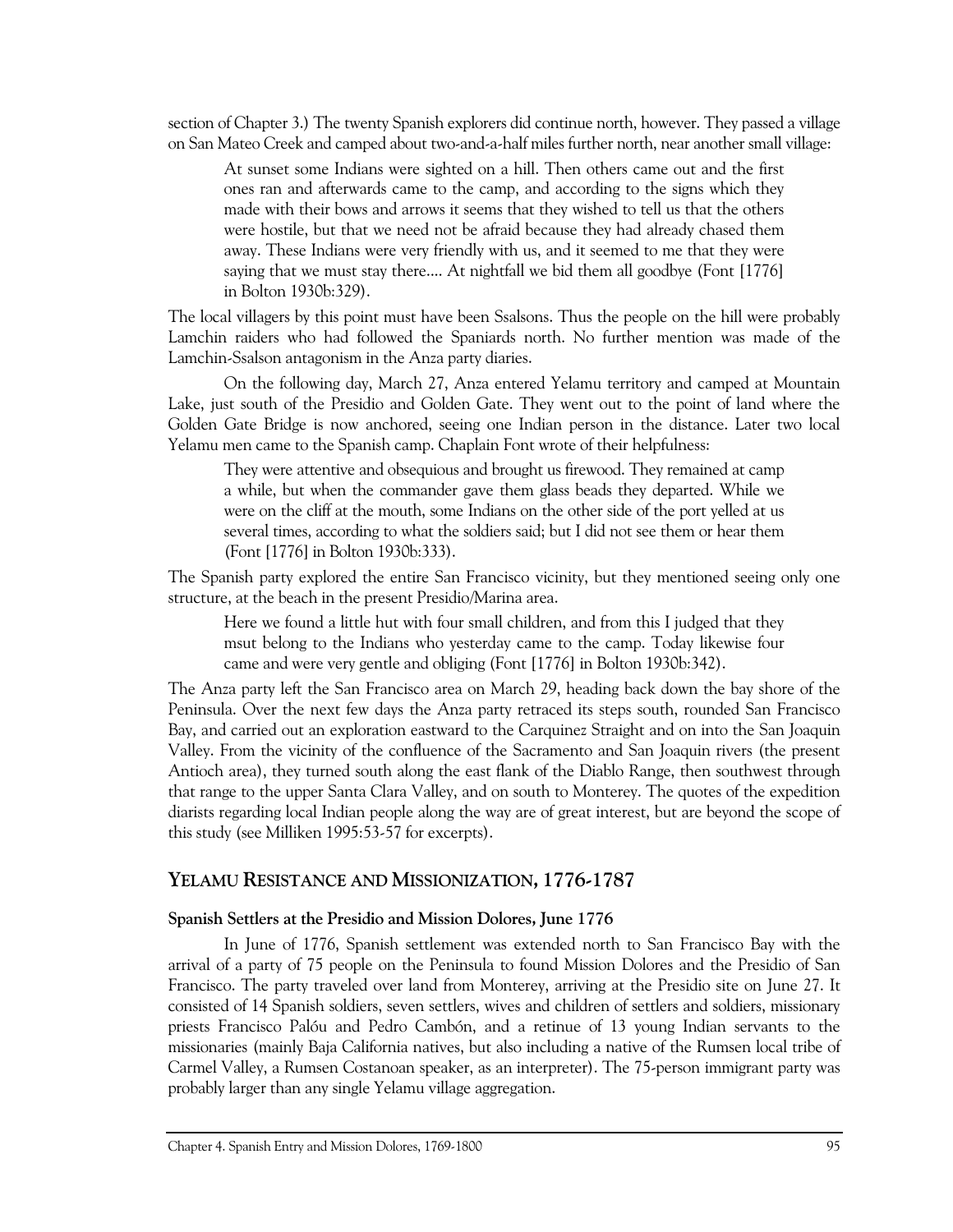section of Chapter 3.) The twenty Spanish explorers did continue north, however. They passed a village on San Mateo Creek and camped about two-and-a-half miles further north, near another small village:

At sunset some Indians were sighted on a hill. Then others came out and the first ones ran and afterwards came to the camp, and according to the signs which they made with their bows and arrows it seems that they wished to tell us that the others were hostile, but that we need not be afraid because they had already chased them away. These Indians were very friendly with us, and it seemed to me that they were saying that we must stay there.... At nightfall we bid them all goodbye (Font [1776] in Bolton 1930b:329).

The local villagers by this point must have been Ssalsons. Thus the people on the hill were probably Lamchin raiders who had followed the Spaniards north. No further mention was made of the Lamchin-Ssalson antagonism in the Anza party diaries.

On the following day, March 27, Anza entered Yelamu territory and camped at Mountain Lake, just south of the Presidio and Golden Gate. They went out to the point of land where the Golden Gate Bridge is now anchored, seeing one Indian person in the distance. Later two local Yelamu men came to the Spanish camp. Chaplain Font wrote of their helpfulness:

They were attentive and obsequious and brought us firewood. They remained at camp a while, but when the commander gave them glass beads they departed. While we were on the cliff at the mouth, some Indians on the other side of the port yelled at us several times, according to what the soldiers said; but I did not see them or hear them (Font [1776] in Bolton 1930b:333).

The Spanish party explored the entire San Francisco vicinity, but they mentioned seeing only one structure, at the beach in the present Presidio/Marina area.

Here we found a little hut with four small children, and from this I judged that they msut belong to the Indians who yesterday came to the camp. Today likewise four came and were very gentle and obliging (Font [1776] in Bolton 1930b:342).

The Anza party left the San Francisco area on March 29, heading back down the bay shore of the Peninsula. Over the next few days the Anza party retraced its steps south, rounded San Francisco Bay, and carried out an exploration eastward to the Carquinez Straight and on into the San Joaquin Valley. From the vicinity of the confluence of the Sacramento and San Joaquin rivers (the present Antioch area), they turned south along the east flank of the Diablo Range, then southwest through that range to the upper Santa Clara Valley, and on south to Monterey. The quotes of the expedition diarists regarding local Indian people along the way are of great interest, but are beyond the scope of this study (see Milliken 1995:53-57 for excerpts).

## **YELAMU RESISTANCE AND MISSIONIZATION, 1776-1787**

#### **Spanish Settlers at the Presidio and Mission Dolores, June 1776**

In June of 1776, Spanish settlement was extended north to San Francisco Bay with the arrival of a party of 75 people on the Peninsula to found Mission Dolores and the Presidio of San Francisco. The party traveled over land from Monterey, arriving at the Presidio site on June 27. It consisted of 14 Spanish soldiers, seven settlers, wives and children of settlers and soldiers, missionary priests Francisco Palóu and Pedro Cambón, and a retinue of 13 young Indian servants to the missionaries (mainly Baja California natives, but also including a native of the Rumsen local tribe of Carmel Valley, a Rumsen Costanoan speaker, as an interpreter). The 75-person immigrant party was probably larger than any single Yelamu village aggregation.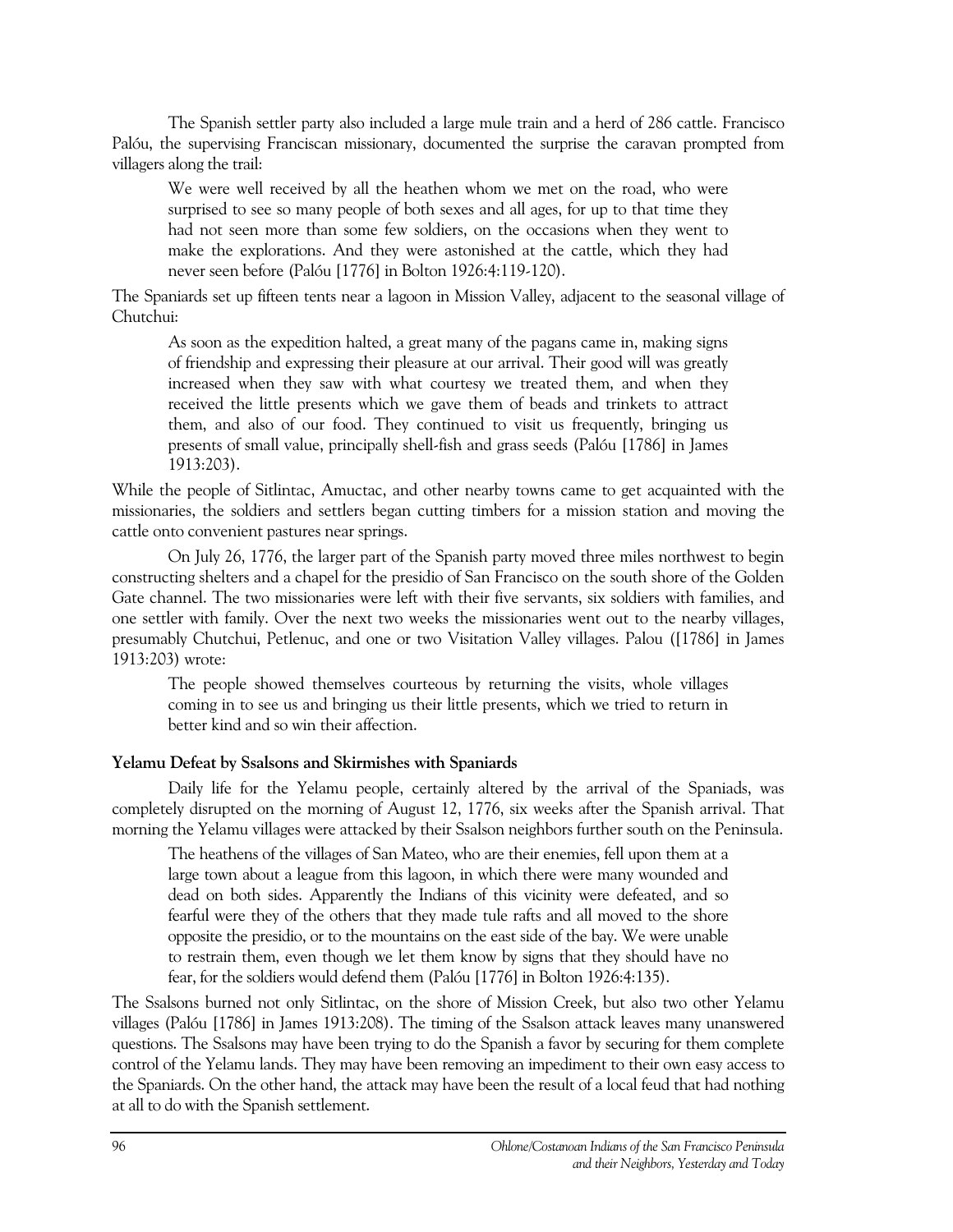The Spanish settler party also included a large mule train and a herd of 286 cattle. Francisco Palóu, the supervising Franciscan missionary, documented the surprise the caravan prompted from villagers along the trail:

We were well received by all the heathen whom we met on the road, who were surprised to see so many people of both sexes and all ages, for up to that time they had not seen more than some few soldiers, on the occasions when they went to make the explorations. And they were astonished at the cattle, which they had never seen before (Palóu [1776] in Bolton 1926:4:119-120).

The Spaniards set up fifteen tents near a lagoon in Mission Valley, adjacent to the seasonal village of Chutchui:

As soon as the expedition halted, a great many of the pagans came in, making signs of friendship and expressing their pleasure at our arrival. Their good will was greatly increased when they saw with what courtesy we treated them, and when they received the little presents which we gave them of beads and trinkets to attract them, and also of our food. They continued to visit us frequently, bringing us presents of small value, principally shell-fish and grass seeds (Palóu [1786] in James 1913:203).

While the people of Sitlintac, Amuctac, and other nearby towns came to get acquainted with the missionaries, the soldiers and settlers began cutting timbers for a mission station and moving the cattle onto convenient pastures near springs.

On July 26, 1776, the larger part of the Spanish party moved three miles northwest to begin constructing shelters and a chapel for the presidio of San Francisco on the south shore of the Golden Gate channel. The two missionaries were left with their five servants, six soldiers with families, and one settler with family. Over the next two weeks the missionaries went out to the nearby villages, presumably Chutchui, Petlenuc, and one or two Visitation Valley villages. Palou ([1786] in James 1913:203) wrote:

The people showed themselves courteous by returning the visits, whole villages coming in to see us and bringing us their little presents, which we tried to return in better kind and so win their affection.

## **Yelamu Defeat by Ssalsons and Skirmishes with Spaniards**

Daily life for the Yelamu people, certainly altered by the arrival of the Spaniads, was completely disrupted on the morning of August 12, 1776, six weeks after the Spanish arrival. That morning the Yelamu villages were attacked by their Ssalson neighbors further south on the Peninsula.

The heathens of the villages of San Mateo, who are their enemies, fell upon them at a large town about a league from this lagoon, in which there were many wounded and dead on both sides. Apparently the Indians of this vicinity were defeated, and so fearful were they of the others that they made tule rafts and all moved to the shore opposite the presidio, or to the mountains on the east side of the bay. We were unable to restrain them, even though we let them know by signs that they should have no fear, for the soldiers would defend them (Palóu [1776] in Bolton 1926:4:135).

The Ssalsons burned not only Sitlintac, on the shore of Mission Creek, but also two other Yelamu villages (Palóu [1786] in James 1913:208). The timing of the Ssalson attack leaves many unanswered questions. The Ssalsons may have been trying to do the Spanish a favor by securing for them complete control of the Yelamu lands. They may have been removing an impediment to their own easy access to the Spaniards. On the other hand, the attack may have been the result of a local feud that had nothing at all to do with the Spanish settlement.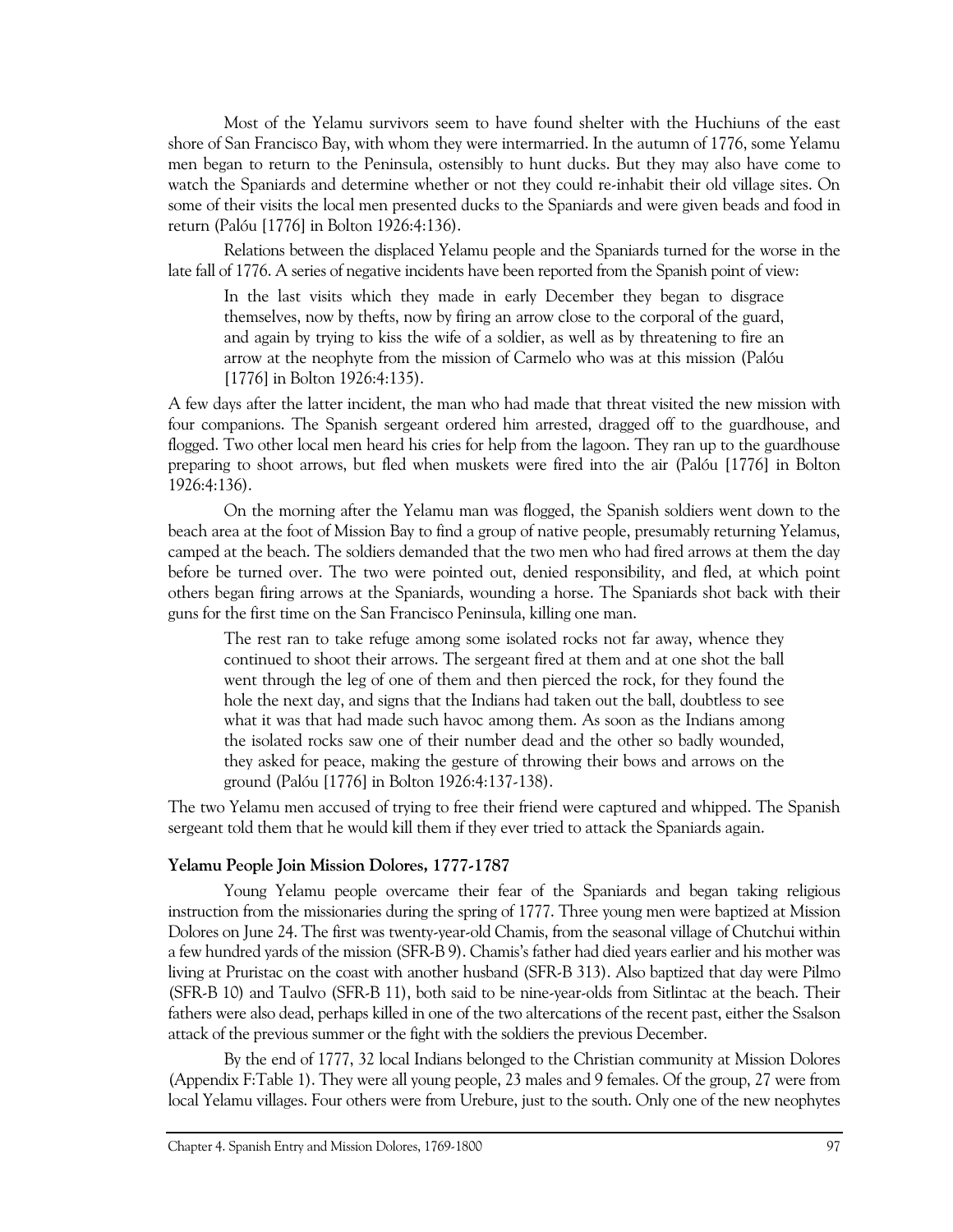Most of the Yelamu survivors seem to have found shelter with the Huchiuns of the east shore of San Francisco Bay, with whom they were intermarried. In the autumn of 1776, some Yelamu men began to return to the Peninsula, ostensibly to hunt ducks. But they may also have come to watch the Spaniards and determine whether or not they could re-inhabit their old village sites. On some of their visits the local men presented ducks to the Spaniards and were given beads and food in return (Palóu [1776] in Bolton 1926:4:136).

Relations between the displaced Yelamu people and the Spaniards turned for the worse in the late fall of 1776. A series of negative incidents have been reported from the Spanish point of view:

In the last visits which they made in early December they began to disgrace themselves, now by thefts, now by firing an arrow close to the corporal of the guard, and again by trying to kiss the wife of a soldier, as well as by threatening to fire an arrow at the neophyte from the mission of Carmelo who was at this mission (Palóu [1776] in Bolton 1926:4:135).

A few days after the latter incident, the man who had made that threat visited the new mission with four companions. The Spanish sergeant ordered him arrested, dragged off to the guardhouse, and flogged. Two other local men heard his cries for help from the lagoon. They ran up to the guardhouse preparing to shoot arrows, but fled when muskets were fired into the air (Palóu [1776] in Bolton 1926:4:136).

On the morning after the Yelamu man was flogged, the Spanish soldiers went down to the beach area at the foot of Mission Bay to find a group of native people, presumably returning Yelamus, camped at the beach. The soldiers demanded that the two men who had fired arrows at them the day before be turned over. The two were pointed out, denied responsibility, and fled, at which point others began firing arrows at the Spaniards, wounding a horse. The Spaniards shot back with their guns for the first time on the San Francisco Peninsula, killing one man.

The rest ran to take refuge among some isolated rocks not far away, whence they continued to shoot their arrows. The sergeant fired at them and at one shot the ball went through the leg of one of them and then pierced the rock, for they found the hole the next day, and signs that the Indians had taken out the ball, doubtless to see what it was that had made such havoc among them. As soon as the Indians among the isolated rocks saw one of their number dead and the other so badly wounded, they asked for peace, making the gesture of throwing their bows and arrows on the ground (Palóu [1776] in Bolton 1926:4:137-138).

The two Yelamu men accused of trying to free their friend were captured and whipped. The Spanish sergeant told them that he would kill them if they ever tried to attack the Spaniards again.

#### **Yelamu People Join Mission Dolores, 1777-1787**

Young Yelamu people overcame their fear of the Spaniards and began taking religious instruction from the missionaries during the spring of 1777. Three young men were baptized at Mission Dolores on June 24. The first was twenty-year-old Chamis, from the seasonal village of Chutchui within a few hundred yards of the mission (SFR-B 9). Chamis's father had died years earlier and his mother was living at Pruristac on the coast with another husband (SFR-B 313). Also baptized that day were Pilmo (SFR-B 10) and Taulvo (SFR-B 11), both said to be nine-year-olds from Sitlintac at the beach. Their fathers were also dead, perhaps killed in one of the two altercations of the recent past, either the Ssalson attack of the previous summer or the fight with the soldiers the previous December.

By the end of 1777, 32 local Indians belonged to the Christian community at Mission Dolores (Appendix F:Table 1). They were all young people, 23 males and 9 females. Of the group, 27 were from local Yelamu villages. Four others were from Urebure, just to the south. Only one of the new neophytes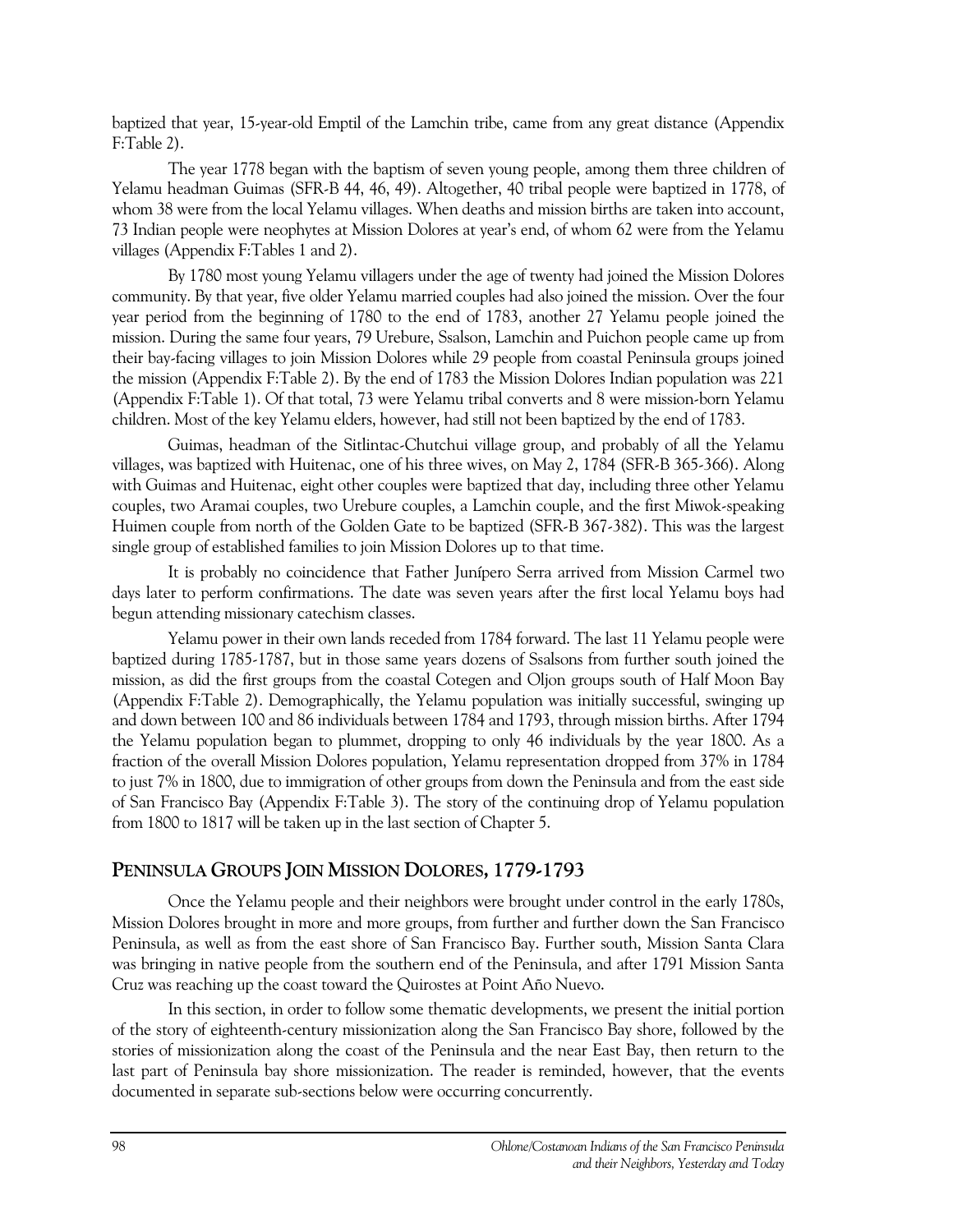baptized that year, 15-year-old Emptil of the Lamchin tribe, came from any great distance (Appendix F:Table 2).

The year 1778 began with the baptism of seven young people, among them three children of Yelamu headman Guimas (SFR-B 44, 46, 49). Altogether, 40 tribal people were baptized in 1778, of whom 38 were from the local Yelamu villages. When deaths and mission births are taken into account, 73 Indian people were neophytes at Mission Dolores at year's end, of whom 62 were from the Yelamu villages (Appendix F:Tables 1 and 2).

By 1780 most young Yelamu villagers under the age of twenty had joined the Mission Dolores community. By that year, five older Yelamu married couples had also joined the mission. Over the four year period from the beginning of 1780 to the end of 1783, another 27 Yelamu people joined the mission. During the same four years, 79 Urebure, Ssalson, Lamchin and Puichon people came up from their bay-facing villages to join Mission Dolores while 29 people from coastal Peninsula groups joined the mission (Appendix F:Table 2). By the end of 1783 the Mission Dolores Indian population was 221 (Appendix F:Table 1). Of that total, 73 were Yelamu tribal converts and 8 were mission-born Yelamu children. Most of the key Yelamu elders, however, had still not been baptized by the end of 1783.

Guimas, headman of the Sitlintac-Chutchui village group, and probably of all the Yelamu villages, was baptized with Huitenac, one of his three wives, on May 2, 1784 (SFR-B 365-366). Along with Guimas and Huitenac, eight other couples were baptized that day, including three other Yelamu couples, two Aramai couples, two Urebure couples, a Lamchin couple, and the first Miwok-speaking Huimen couple from north of the Golden Gate to be baptized (SFR-B 367-382). This was the largest single group of established families to join Mission Dolores up to that time.

It is probably no coincidence that Father Junípero Serra arrived from Mission Carmel two days later to perform confirmations. The date was seven years after the first local Yelamu boys had begun attending missionary catechism classes.

Yelamu power in their own lands receded from 1784 forward. The last 11 Yelamu people were baptized during 1785-1787, but in those same years dozens of Ssalsons from further south joined the mission, as did the first groups from the coastal Cotegen and Oljon groups south of Half Moon Bay (Appendix F:Table 2). Demographically, the Yelamu population was initially successful, swinging up and down between 100 and 86 individuals between 1784 and 1793, through mission births. After 1794 the Yelamu population began to plummet, dropping to only 46 individuals by the year 1800. As a fraction of the overall Mission Dolores population, Yelamu representation dropped from 37% in 1784 to just 7% in 1800, due to immigration of other groups from down the Peninsula and from the east side of San Francisco Bay (Appendix F:Table 3). The story of the continuing drop of Yelamu population from 1800 to 1817 will be taken up in the last section of Chapter 5.

# **PENINSULA GROUPS JOIN MISSION DOLORES, 1779-1793**

Once the Yelamu people and their neighbors were brought under control in the early 1780s, Mission Dolores brought in more and more groups, from further and further down the San Francisco Peninsula, as well as from the east shore of San Francisco Bay. Further south, Mission Santa Clara was bringing in native people from the southern end of the Peninsula, and after 1791 Mission Santa Cruz was reaching up the coast toward the Quirostes at Point Año Nuevo.

In this section, in order to follow some thematic developments, we present the initial portion of the story of eighteenth-century missionization along the San Francisco Bay shore, followed by the stories of missionization along the coast of the Peninsula and the near East Bay, then return to the last part of Peninsula bay shore missionization. The reader is reminded, however, that the events documented in separate sub-sections below were occurring concurrently.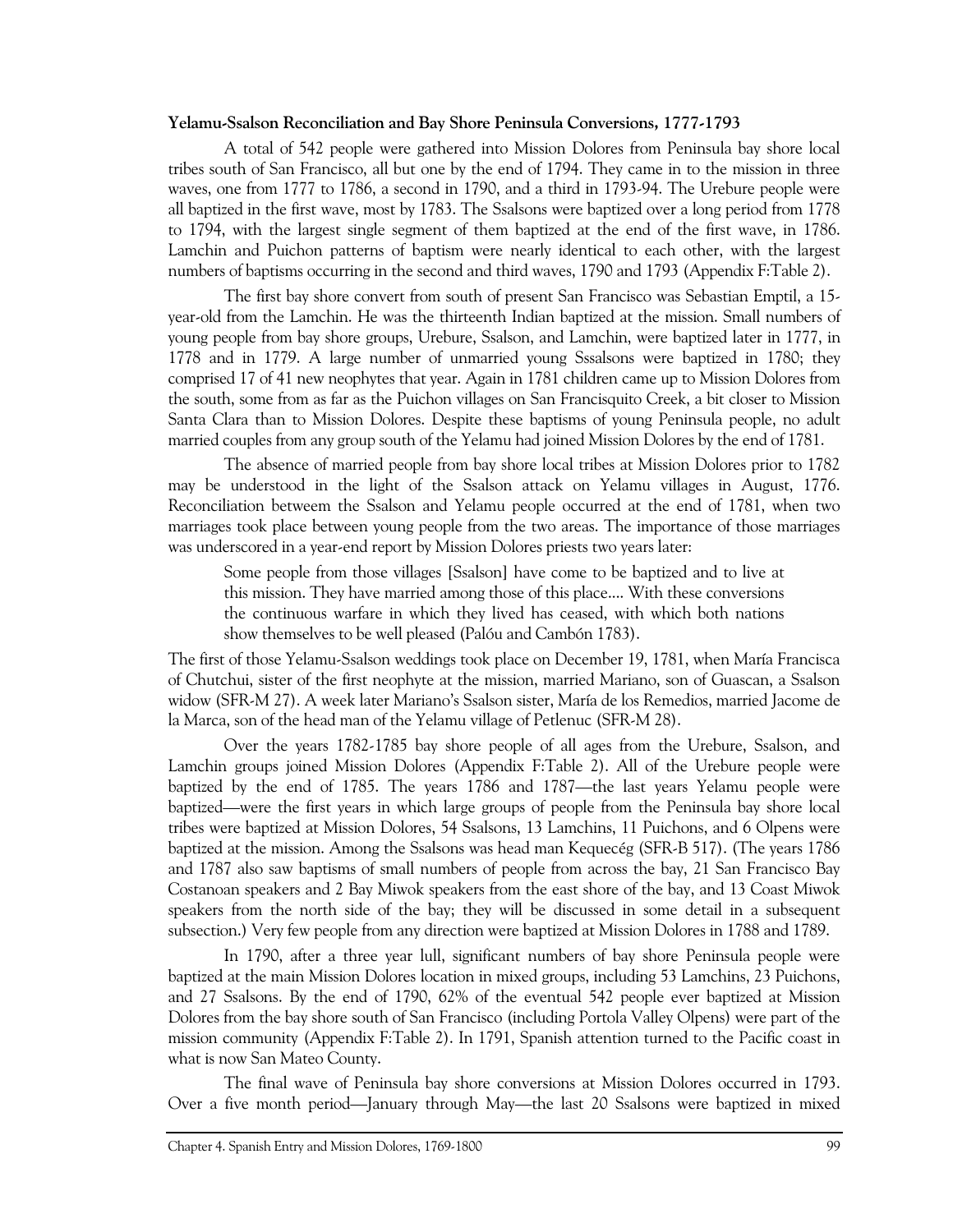#### **Yelamu-Ssalson Reconciliation and Bay Shore Peninsula Conversions, 1777-1793**

A total of 542 people were gathered into Mission Dolores from Peninsula bay shore local tribes south of San Francisco, all but one by the end of 1794. They came in to the mission in three waves, one from 1777 to 1786, a second in 1790, and a third in 1793-94. The Urebure people were all baptized in the first wave, most by 1783. The Ssalsons were baptized over a long period from 1778 to 1794, with the largest single segment of them baptized at the end of the first wave, in 1786. Lamchin and Puichon patterns of baptism were nearly identical to each other, with the largest numbers of baptisms occurring in the second and third waves, 1790 and 1793 (Appendix F:Table 2).

The first bay shore convert from south of present San Francisco was Sebastian Emptil, a 15 year-old from the Lamchin. He was the thirteenth Indian baptized at the mission. Small numbers of young people from bay shore groups, Urebure, Ssalson, and Lamchin, were baptized later in 1777, in 1778 and in 1779. A large number of unmarried young Sssalsons were baptized in 1780; they comprised 17 of 41 new neophytes that year. Again in 1781 children came up to Mission Dolores from the south, some from as far as the Puichon villages on San Francisquito Creek, a bit closer to Mission Santa Clara than to Mission Dolores. Despite these baptisms of young Peninsula people, no adult married couples from any group south of the Yelamu had joined Mission Dolores by the end of 1781.

The absence of married people from bay shore local tribes at Mission Dolores prior to 1782 may be understood in the light of the Ssalson attack on Yelamu villages in August, 1776. Reconciliation betweem the Ssalson and Yelamu people occurred at the end of 1781, when two marriages took place between young people from the two areas. The importance of those marriages was underscored in a year-end report by Mission Dolores priests two years later:

Some people from those villages [Ssalson] have come to be baptized and to live at this mission. They have married among those of this place.... With these conversions the continuous warfare in which they lived has ceased, with which both nations show themselves to be well pleased (Palóu and Cambón 1783).

The first of those Yelamu-Ssalson weddings took place on December 19, 1781, when María Francisca of Chutchui, sister of the first neophyte at the mission, married Mariano, son of Guascan, a Ssalson widow (SFR-M 27). A week later Mariano's Ssalson sister, María de los Remedios, married Jacome de la Marca, son of the head man of the Yelamu village of Petlenuc (SFR-M 28).

Over the years 1782-1785 bay shore people of all ages from the Urebure, Ssalson, and Lamchin groups joined Mission Dolores (Appendix F:Table 2). All of the Urebure people were baptized by the end of 1785. The years 1786 and 1787—the last years Yelamu people were baptized—were the first years in which large groups of people from the Peninsula bay shore local tribes were baptized at Mission Dolores, 54 Ssalsons, 13 Lamchins, 11 Puichons, and 6 Olpens were baptized at the mission. Among the Ssalsons was head man Kequecég (SFR-B 517). (The years 1786 and 1787 also saw baptisms of small numbers of people from across the bay, 21 San Francisco Bay Costanoan speakers and 2 Bay Miwok speakers from the east shore of the bay, and 13 Coast Miwok speakers from the north side of the bay; they will be discussed in some detail in a subsequent subsection.) Very few people from any direction were baptized at Mission Dolores in 1788 and 1789.

In 1790, after a three year lull, significant numbers of bay shore Peninsula people were baptized at the main Mission Dolores location in mixed groups, including 53 Lamchins, 23 Puichons, and 27 Ssalsons. By the end of 1790, 62% of the eventual 542 people ever baptized at Mission Dolores from the bay shore south of San Francisco (including Portola Valley Olpens) were part of the mission community (Appendix F:Table 2). In 1791, Spanish attention turned to the Pacific coast in what is now San Mateo County.

The final wave of Peninsula bay shore conversions at Mission Dolores occurred in 1793. Over a five month period—January through May—the last 20 Ssalsons were baptized in mixed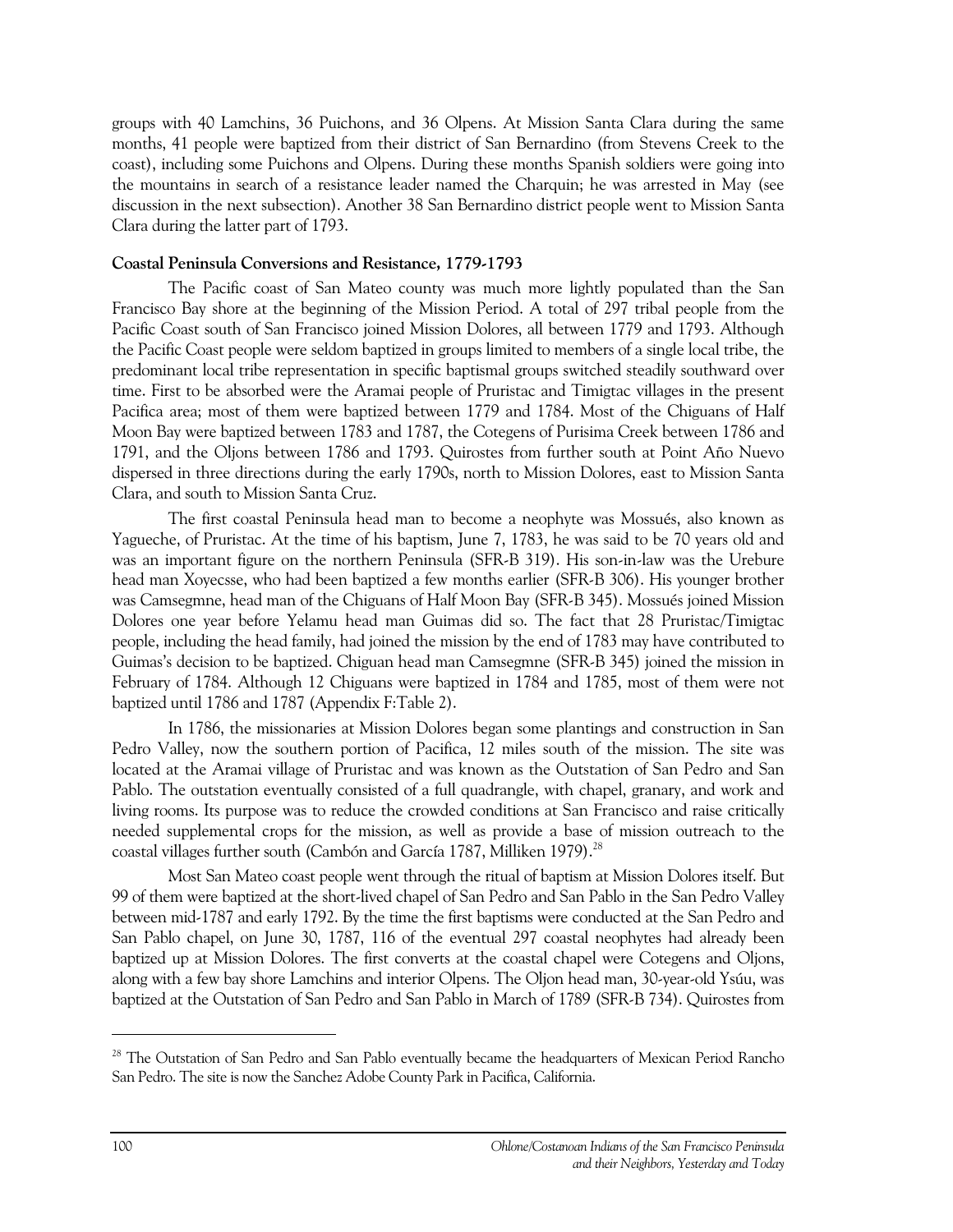groups with 40 Lamchins, 36 Puichons, and 36 Olpens. At Mission Santa Clara during the same months, 41 people were baptized from their district of San Bernardino (from Stevens Creek to the coast), including some Puichons and Olpens. During these months Spanish soldiers were going into the mountains in search of a resistance leader named the Charquin; he was arrested in May (see discussion in the next subsection). Another 38 San Bernardino district people went to Mission Santa Clara during the latter part of 1793.

### **Coastal Peninsula Conversions and Resistance, 1779-1793**

The Pacific coast of San Mateo county was much more lightly populated than the San Francisco Bay shore at the beginning of the Mission Period. A total of 297 tribal people from the Pacific Coast south of San Francisco joined Mission Dolores, all between 1779 and 1793. Although the Pacific Coast people were seldom baptized in groups limited to members of a single local tribe, the predominant local tribe representation in specific baptismal groups switched steadily southward over time. First to be absorbed were the Aramai people of Pruristac and Timigtac villages in the present Pacifica area; most of them were baptized between 1779 and 1784. Most of the Chiguans of Half Moon Bay were baptized between 1783 and 1787, the Cotegens of Purisima Creek between 1786 and 1791, and the Oljons between 1786 and 1793. Quirostes from further south at Point Año Nuevo dispersed in three directions during the early 1790s, north to Mission Dolores, east to Mission Santa Clara, and south to Mission Santa Cruz.

The first coastal Peninsula head man to become a neophyte was Mossués, also known as Yagueche, of Pruristac. At the time of his baptism, June 7, 1783, he was said to be 70 years old and was an important figure on the northern Peninsula (SFR-B 319). His son-in-law was the Urebure head man Xoyecsse, who had been baptized a few months earlier (SFR-B 306). His younger brother was Camsegmne, head man of the Chiguans of Half Moon Bay (SFR-B 345). Mossués joined Mission Dolores one year before Yelamu head man Guimas did so. The fact that 28 Pruristac/Timigtac people, including the head family, had joined the mission by the end of 1783 may have contributed to Guimas's decision to be baptized. Chiguan head man Camsegmne (SFR-B 345) joined the mission in February of 1784. Although 12 Chiguans were baptized in 1784 and 1785, most of them were not baptized until 1786 and 1787 (Appendix F:Table 2).

In 1786, the missionaries at Mission Dolores began some plantings and construction in San Pedro Valley, now the southern portion of Pacifica, 12 miles south of the mission. The site was located at the Aramai village of Pruristac and was known as the Outstation of San Pedro and San Pablo. The outstation eventually consisted of a full quadrangle, with chapel, granary, and work and living rooms. Its purpose was to reduce the crowded conditions at San Francisco and raise critically needed supplemental crops for the mission, as well as provide a base of mission outreach to the coastal villages further south (Cambón and García 1787, Milliken 1979).<sup>28</sup>

Most San Mateo coast people went through the ritual of baptism at Mission Dolores itself. But 99 of them were baptized at the short-lived chapel of San Pedro and San Pablo in the San Pedro Valley between mid-1787 and early 1792. By the time the first baptisms were conducted at the San Pedro and San Pablo chapel, on June 30, 1787, 116 of the eventual 297 coastal neophytes had already been baptized up at Mission Dolores. The first converts at the coastal chapel were Cotegens and Oljons, along with a few bay shore Lamchins and interior Olpens. The Oljon head man, 30-year-old Ysúu, was baptized at the Outstation of San Pedro and San Pablo in March of 1789 (SFR-B 734). Quirostes from

 $\overline{a}$ 

<sup>&</sup>lt;sup>28</sup> The Outstation of San Pedro and San Pablo eventually became the headquarters of Mexican Period Rancho San Pedro. The site is now the Sanchez Adobe County Park in Pacifica, California.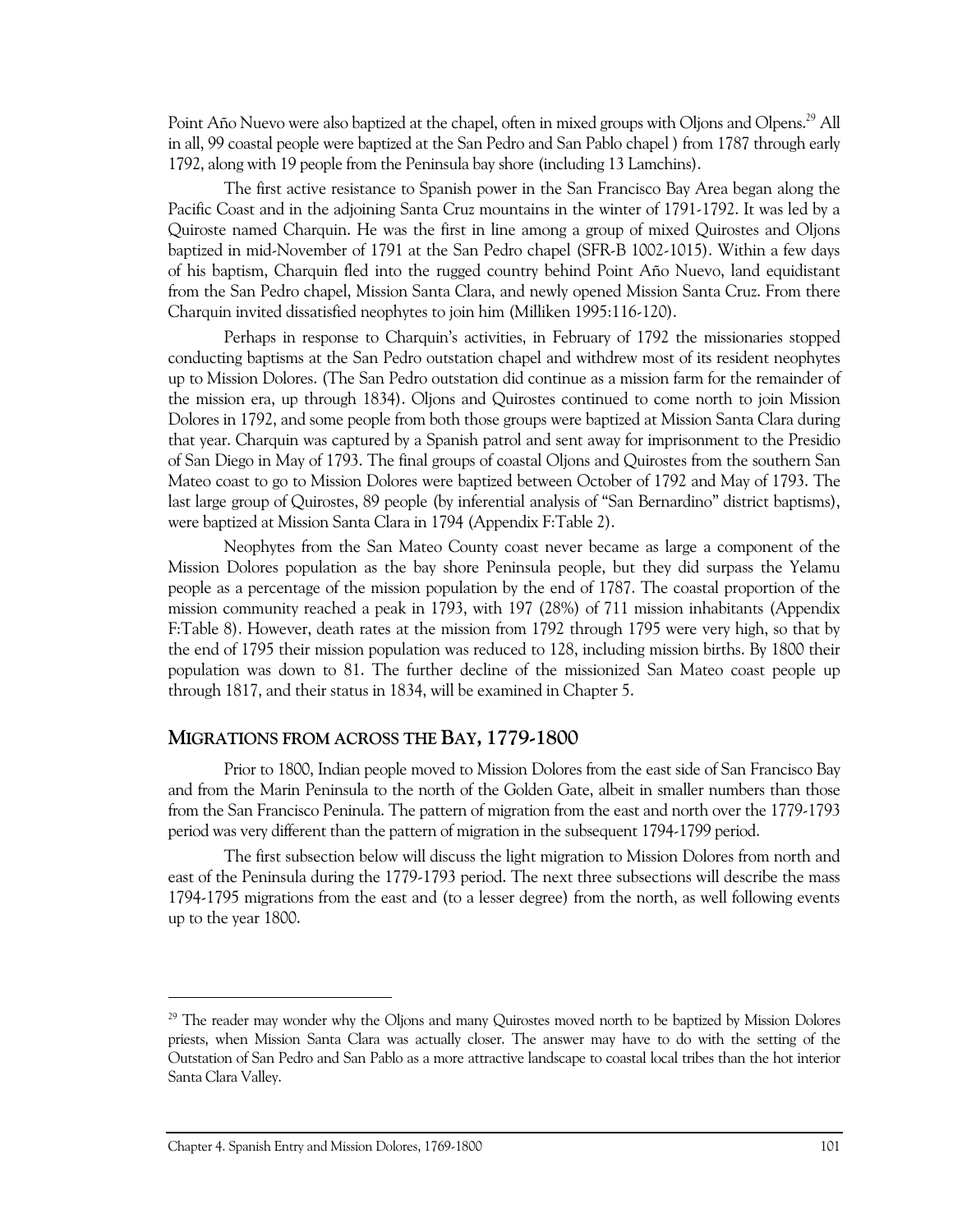Point Año Nuevo were also baptized at the chapel, often in mixed groups with Oljons and Olpens.<sup>29</sup> All in all, 99 coastal people were baptized at the San Pedro and San Pablo chapel ) from 1787 through early 1792, along with 19 people from the Peninsula bay shore (including 13 Lamchins).

The first active resistance to Spanish power in the San Francisco Bay Area began along the Pacific Coast and in the adjoining Santa Cruz mountains in the winter of 1791-1792. It was led by a Quiroste named Charquin. He was the first in line among a group of mixed Quirostes and Oljons baptized in mid-November of 1791 at the San Pedro chapel (SFR-B 1002-1015). Within a few days of his baptism, Charquin fled into the rugged country behind Point Año Nuevo, land equidistant from the San Pedro chapel, Mission Santa Clara, and newly opened Mission Santa Cruz. From there Charquin invited dissatisfied neophytes to join him (Milliken 1995:116-120).

Perhaps in response to Charquin's activities, in February of 1792 the missionaries stopped conducting baptisms at the San Pedro outstation chapel and withdrew most of its resident neophytes up to Mission Dolores. (The San Pedro outstation did continue as a mission farm for the remainder of the mission era, up through 1834). Oljons and Quirostes continued to come north to join Mission Dolores in 1792, and some people from both those groups were baptized at Mission Santa Clara during that year. Charquin was captured by a Spanish patrol and sent away for imprisonment to the Presidio of San Diego in May of 1793. The final groups of coastal Oljons and Quirostes from the southern San Mateo coast to go to Mission Dolores were baptized between October of 1792 and May of 1793. The last large group of Quirostes, 89 people (by inferential analysis of "San Bernardino" district baptisms), were baptized at Mission Santa Clara in 1794 (Appendix F:Table 2).

Neophytes from the San Mateo County coast never became as large a component of the Mission Dolores population as the bay shore Peninsula people, but they did surpass the Yelamu people as a percentage of the mission population by the end of 1787. The coastal proportion of the mission community reached a peak in 1793, with 197 (28%) of 711 mission inhabitants (Appendix F:Table 8). However, death rates at the mission from 1792 through 1795 were very high, so that by the end of 1795 their mission population was reduced to 128, including mission births. By 1800 their population was down to 81. The further decline of the missionized San Mateo coast people up through 1817, and their status in 1834, will be examined in Chapter 5.

#### **MIGRATIONS FROM ACROSS THE BAY, 1779-1800**

Prior to 1800, Indian people moved to Mission Dolores from the east side of San Francisco Bay and from the Marin Peninsula to the north of the Golden Gate, albeit in smaller numbers than those from the San Francisco Peninula. The pattern of migration from the east and north over the 1779-1793 period was very different than the pattern of migration in the subsequent 1794-1799 period.

The first subsection below will discuss the light migration to Mission Dolores from north and east of the Peninsula during the 1779-1793 period. The next three subsections will describe the mass 1794-1795 migrations from the east and (to a lesser degree) from the north, as well following events up to the year 1800.

 $\overline{a}$ 

<sup>&</sup>lt;sup>29</sup> The reader may wonder why the Oljons and many Quirostes moved north to be baptized by Mission Dolores priests, when Mission Santa Clara was actually closer. The answer may have to do with the setting of the Outstation of San Pedro and San Pablo as a more attractive landscape to coastal local tribes than the hot interior Santa Clara Valley.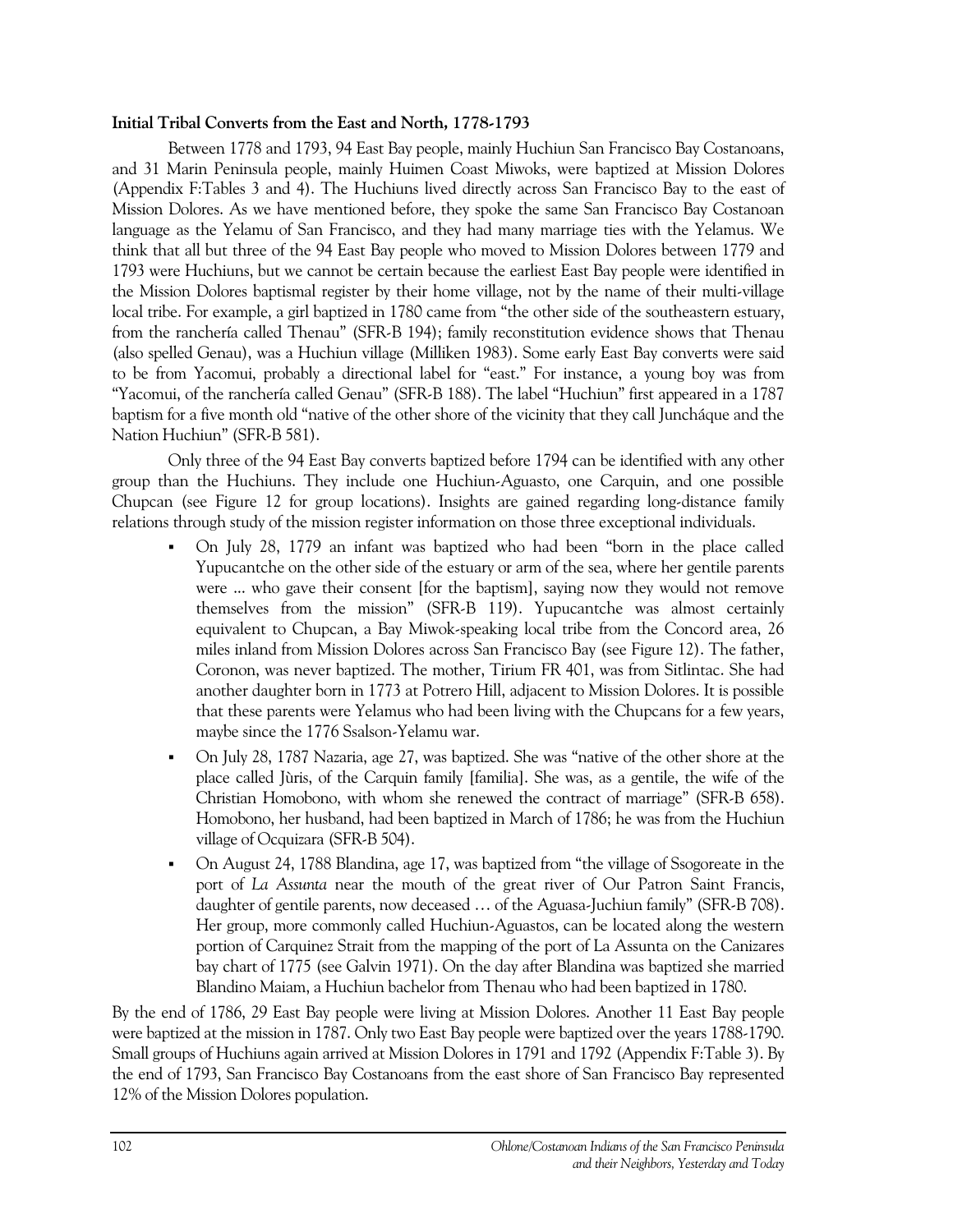### **Initial Tribal Converts from the East and North, 1778-1793**

Between 1778 and 1793, 94 East Bay people, mainly Huchiun San Francisco Bay Costanoans, and 31 Marin Peninsula people, mainly Huimen Coast Miwoks, were baptized at Mission Dolores (Appendix F:Tables 3 and 4). The Huchiuns lived directly across San Francisco Bay to the east of Mission Dolores. As we have mentioned before, they spoke the same San Francisco Bay Costanoan language as the Yelamu of San Francisco, and they had many marriage ties with the Yelamus. We think that all but three of the 94 East Bay people who moved to Mission Dolores between 1779 and 1793 were Huchiuns, but we cannot be certain because the earliest East Bay people were identified in the Mission Dolores baptismal register by their home village, not by the name of their multi-village local tribe. For example, a girl baptized in 1780 came from "the other side of the southeastern estuary, from the ranchería called Thenau" (SFR-B 194); family reconstitution evidence shows that Thenau (also spelled Genau), was a Huchiun village (Milliken 1983). Some early East Bay converts were said to be from Yacomui, probably a directional label for "east." For instance, a young boy was from "Yacomui, of the ranchería called Genau" (SFR-B 188). The label "Huchiun" first appeared in a 1787 baptism for a five month old "native of the other shore of the vicinity that they call Juncháque and the Nation Huchiun" (SFR-B 581).

Only three of the 94 East Bay converts baptized before 1794 can be identified with any other group than the Huchiuns. They include one Huchiun-Aguasto, one Carquin, and one possible Chupcan (see Figure 12 for group locations). Insights are gained regarding long-distance family relations through study of the mission register information on those three exceptional individuals.

- On July 28, 1779 an infant was baptized who had been "born in the place called Yupucantche on the other side of the estuary or arm of the sea, where her gentile parents were ... who gave their consent [for the baptism], saying now they would not remove themselves from the mission" (SFR-B 119). Yupucantche was almost certainly equivalent to Chupcan, a Bay Miwok-speaking local tribe from the Concord area, 26 miles inland from Mission Dolores across San Francisco Bay (see Figure 12). The father, Coronon, was never baptized. The mother, Tirium FR 401, was from Sitlintac. She had another daughter born in 1773 at Potrero Hill, adjacent to Mission Dolores. It is possible that these parents were Yelamus who had been living with the Chupcans for a few years, maybe since the 1776 Ssalson-Yelamu war.
- On July 28, 1787 Nazaria, age 27, was baptized. She was "native of the other shore at the place called Jùris, of the Carquin family [familia]. She was, as a gentile, the wife of the Christian Homobono, with whom she renewed the contract of marriage" (SFR-B 658). Homobono, her husband, had been baptized in March of 1786; he was from the Huchiun village of Ocquizara (SFR-B 504).
- On August 24, 1788 Blandina, age 17, was baptized from "the village of Ssogoreate in the port of *La Assunta* near the mouth of the great river of Our Patron Saint Francis, daughter of gentile parents, now deceased … of the Aguasa-Juchiun family" (SFR-B 708). Her group, more commonly called Huchiun-Aguastos, can be located along the western portion of Carquinez Strait from the mapping of the port of La Assunta on the Canizares bay chart of 1775 (see Galvin 1971). On the day after Blandina was baptized she married Blandino Maiam, a Huchiun bachelor from Thenau who had been baptized in 1780.

By the end of 1786, 29 East Bay people were living at Mission Dolores. Another 11 East Bay people were baptized at the mission in 1787. Only two East Bay people were baptized over the years 1788-1790. Small groups of Huchiuns again arrived at Mission Dolores in 1791 and 1792 (Appendix F:Table 3). By the end of 1793, San Francisco Bay Costanoans from the east shore of San Francisco Bay represented 12% of the Mission Dolores population.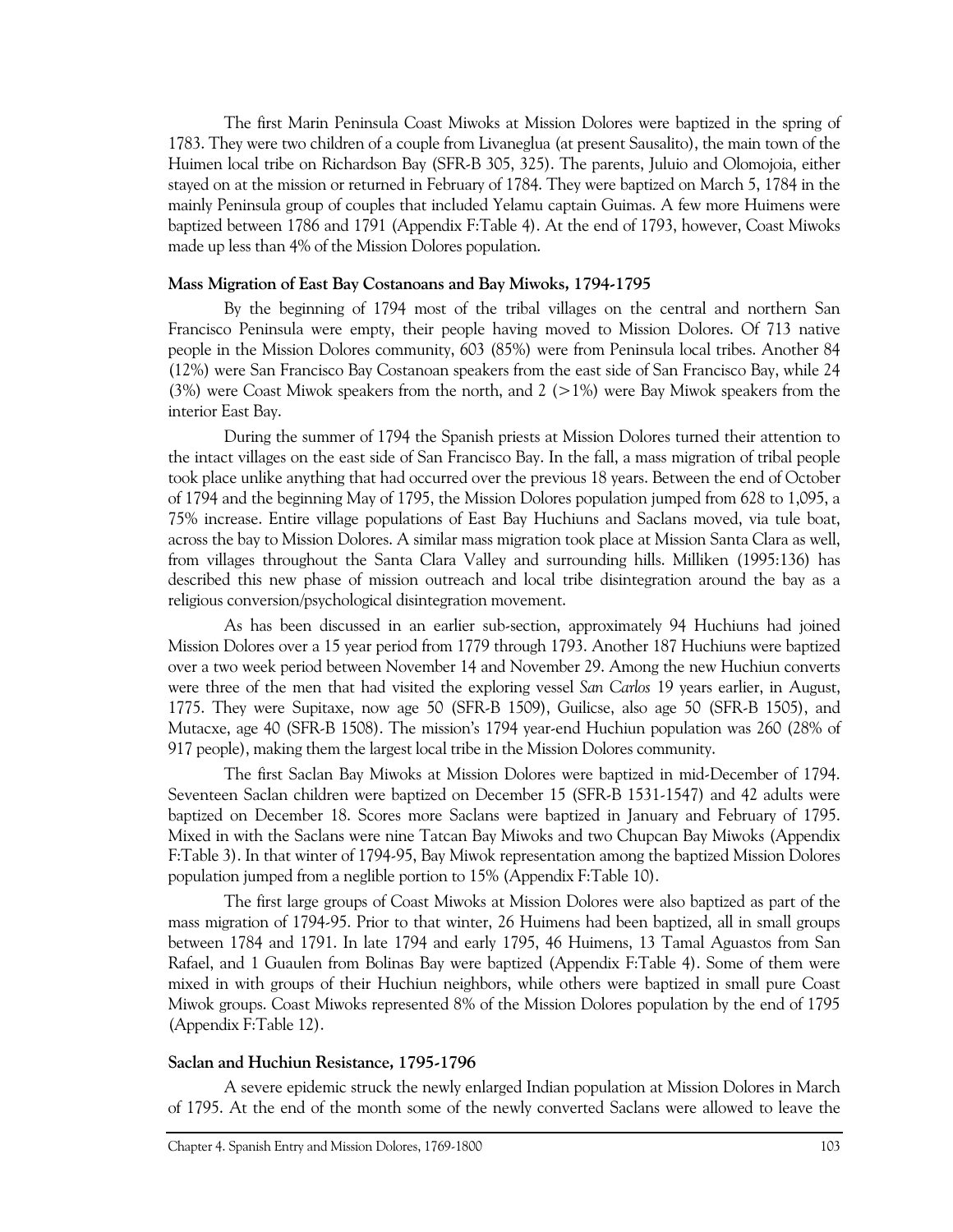The first Marin Peninsula Coast Miwoks at Mission Dolores were baptized in the spring of 1783. They were two children of a couple from Livaneglua (at present Sausalito), the main town of the Huimen local tribe on Richardson Bay (SFR-B 305, 325). The parents, Juluio and Olomojoia, either stayed on at the mission or returned in February of 1784. They were baptized on March 5, 1784 in the mainly Peninsula group of couples that included Yelamu captain Guimas. A few more Huimens were baptized between 1786 and 1791 (Appendix F:Table 4). At the end of 1793, however, Coast Miwoks made up less than 4% of the Mission Dolores population.

### **Mass Migration of East Bay Costanoans and Bay Miwoks, 1794-1795**

By the beginning of 1794 most of the tribal villages on the central and northern San Francisco Peninsula were empty, their people having moved to Mission Dolores. Of 713 native people in the Mission Dolores community, 603 (85%) were from Peninsula local tribes. Another 84 (12%) were San Francisco Bay Costanoan speakers from the east side of San Francisco Bay, while 24  $(3\%)$  were Coast Miwok speakers from the north, and 2 ( $>1\%$ ) were Bay Miwok speakers from the interior East Bay.

During the summer of 1794 the Spanish priests at Mission Dolores turned their attention to the intact villages on the east side of San Francisco Bay. In the fall, a mass migration of tribal people took place unlike anything that had occurred over the previous 18 years. Between the end of October of 1794 and the beginning May of 1795, the Mission Dolores population jumped from 628 to 1,095, a 75% increase. Entire village populations of East Bay Huchiuns and Saclans moved, via tule boat, across the bay to Mission Dolores. A similar mass migration took place at Mission Santa Clara as well, from villages throughout the Santa Clara Valley and surrounding hills. Milliken (1995:136) has described this new phase of mission outreach and local tribe disintegration around the bay as a religious conversion/psychological disintegration movement.

As has been discussed in an earlier sub-section, approximately 94 Huchiuns had joined Mission Dolores over a 15 year period from 1779 through 1793. Another 187 Huchiuns were baptized over a two week period between November 14 and November 29. Among the new Huchiun converts were three of the men that had visited the exploring vessel *San Carlos* 19 years earlier, in August, 1775. They were Supitaxe, now age 50 (SFR-B 1509), Guilicse, also age 50 (SFR-B 1505), and Mutacxe, age 40 (SFR-B 1508). The mission's 1794 year-end Huchiun population was 260 (28% of 917 people), making them the largest local tribe in the Mission Dolores community.

The first Saclan Bay Miwoks at Mission Dolores were baptized in mid-December of 1794. Seventeen Saclan children were baptized on December 15 (SFR-B 1531-1547) and 42 adults were baptized on December 18. Scores more Saclans were baptized in January and February of 1795. Mixed in with the Saclans were nine Tatcan Bay Miwoks and two Chupcan Bay Miwoks (Appendix F:Table 3). In that winter of 1794-95, Bay Miwok representation among the baptized Mission Dolores population jumped from a neglible portion to 15% (Appendix F:Table 10).

The first large groups of Coast Miwoks at Mission Dolores were also baptized as part of the mass migration of 1794-95. Prior to that winter, 26 Huimens had been baptized, all in small groups between 1784 and 1791. In late 1794 and early 1795, 46 Huimens, 13 Tamal Aguastos from San Rafael, and 1 Guaulen from Bolinas Bay were baptized (Appendix F:Table 4). Some of them were mixed in with groups of their Huchiun neighbors, while others were baptized in small pure Coast Miwok groups. Coast Miwoks represented 8% of the Mission Dolores population by the end of 1795 (Appendix F:Table 12).

## **Saclan and Huchiun Resistance, 1795-1796**

A severe epidemic struck the newly enlarged Indian population at Mission Dolores in March of 1795. At the end of the month some of the newly converted Saclans were allowed to leave the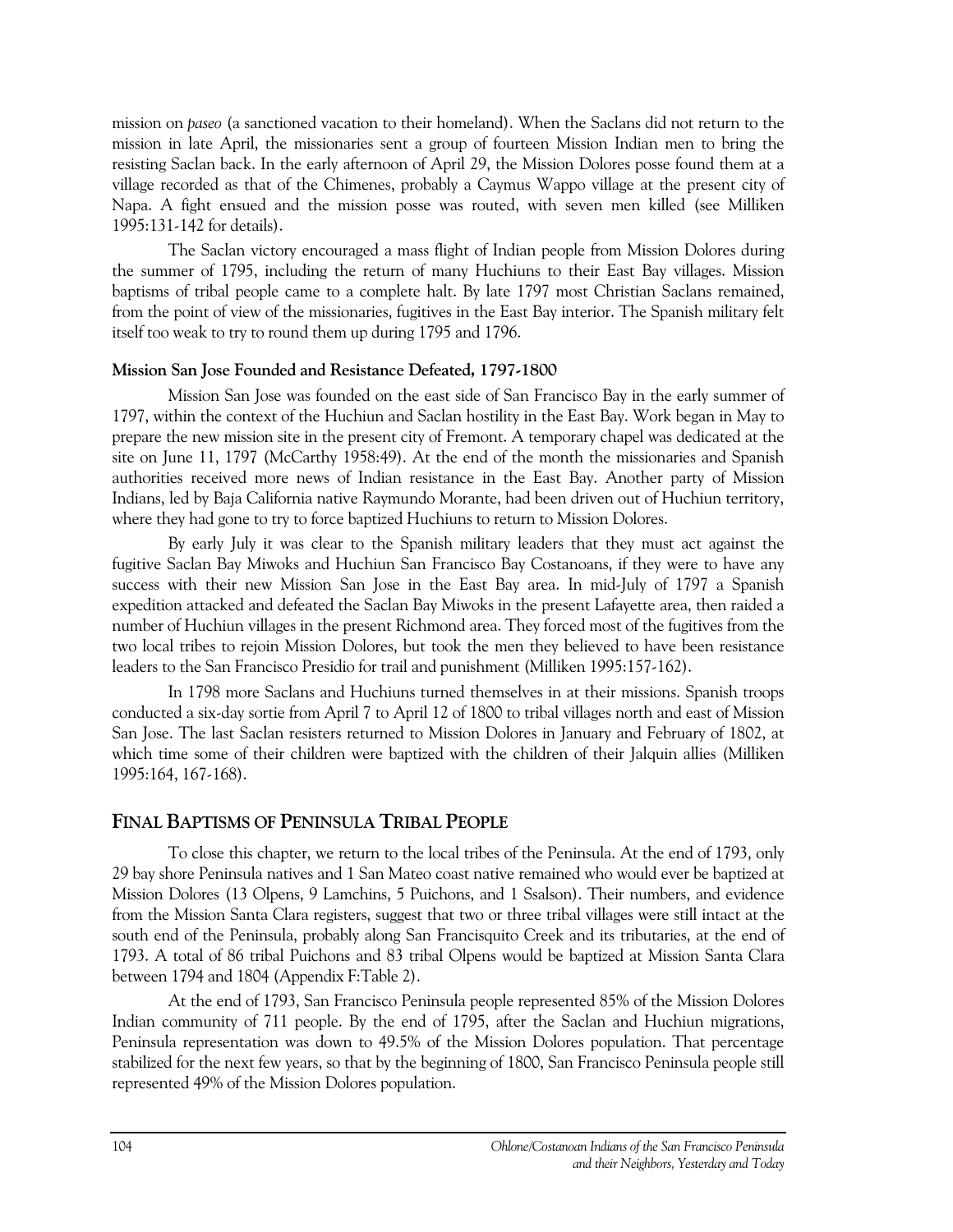mission on *paseo* (a sanctioned vacation to their homeland). When the Saclans did not return to the mission in late April, the missionaries sent a group of fourteen Mission Indian men to bring the resisting Saclan back. In the early afternoon of April 29, the Mission Dolores posse found them at a village recorded as that of the Chimenes, probably a Caymus Wappo village at the present city of Napa. A fight ensued and the mission posse was routed, with seven men killed (see Milliken 1995:131-142 for details).

The Saclan victory encouraged a mass flight of Indian people from Mission Dolores during the summer of 1795, including the return of many Huchiuns to their East Bay villages. Mission baptisms of tribal people came to a complete halt. By late 1797 most Christian Saclans remained, from the point of view of the missionaries, fugitives in the East Bay interior. The Spanish military felt itself too weak to try to round them up during 1795 and 1796.

## **Mission San Jose Founded and Resistance Defeated, 1797-1800**

Mission San Jose was founded on the east side of San Francisco Bay in the early summer of 1797, within the context of the Huchiun and Saclan hostility in the East Bay. Work began in May to prepare the new mission site in the present city of Fremont. A temporary chapel was dedicated at the site on June 11, 1797 (McCarthy 1958:49). At the end of the month the missionaries and Spanish authorities received more news of Indian resistance in the East Bay. Another party of Mission Indians, led by Baja California native Raymundo Morante, had been driven out of Huchiun territory, where they had gone to try to force baptized Huchiuns to return to Mission Dolores.

By early July it was clear to the Spanish military leaders that they must act against the fugitive Saclan Bay Miwoks and Huchiun San Francisco Bay Costanoans, if they were to have any success with their new Mission San Jose in the East Bay area. In mid-July of 1797 a Spanish expedition attacked and defeated the Saclan Bay Miwoks in the present Lafayette area, then raided a number of Huchiun villages in the present Richmond area. They forced most of the fugitives from the two local tribes to rejoin Mission Dolores, but took the men they believed to have been resistance leaders to the San Francisco Presidio for trail and punishment (Milliken 1995:157-162).

In 1798 more Saclans and Huchiuns turned themselves in at their missions. Spanish troops conducted a six-day sortie from April 7 to April 12 of 1800 to tribal villages north and east of Mission San Jose. The last Saclan resisters returned to Mission Dolores in January and February of 1802, at which time some of their children were baptized with the children of their Jalquin allies (Milliken 1995:164, 167-168).

# **FINAL BAPTISMS OF PENINSULA TRIBAL PEOPLE**

To close this chapter, we return to the local tribes of the Peninsula. At the end of 1793, only 29 bay shore Peninsula natives and 1 San Mateo coast native remained who would ever be baptized at Mission Dolores (13 Olpens, 9 Lamchins, 5 Puichons, and 1 Ssalson). Their numbers, and evidence from the Mission Santa Clara registers, suggest that two or three tribal villages were still intact at the south end of the Peninsula, probably along San Francisquito Creek and its tributaries, at the end of 1793. A total of 86 tribal Puichons and 83 tribal Olpens would be baptized at Mission Santa Clara between 1794 and 1804 (Appendix F:Table 2).

At the end of 1793, San Francisco Peninsula people represented 85% of the Mission Dolores Indian community of 711 people. By the end of 1795, after the Saclan and Huchiun migrations, Peninsula representation was down to 49.5% of the Mission Dolores population. That percentage stabilized for the next few years, so that by the beginning of 1800, San Francisco Peninsula people still represented 49% of the Mission Dolores population.